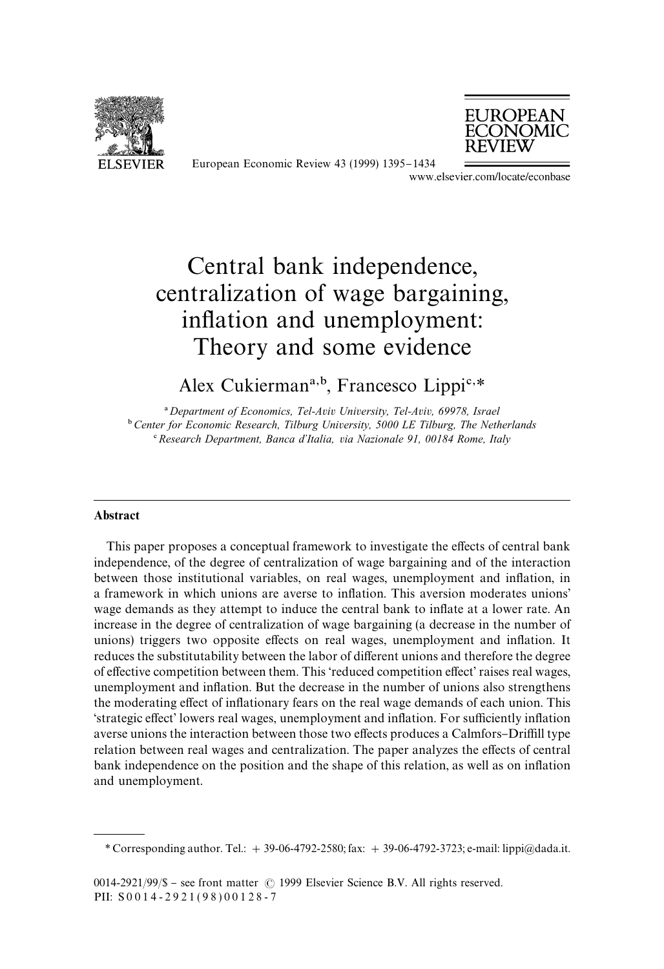



European Economic Review 43 (1999) 1395-1434 
www.elsevier.com/locate/econbase

# Central bank independence, centralization of wage bargaining, inflation and unemployment: Theory and some evidence

# Alex Cukierman<sup>a,b</sup>, Francesco Lippi<sup>c,\*</sup>

! *Department of Economics, Tel-Aviv University, Tel-Aviv, 69978, Israel* "*Center for Economic Research, Tilburg University, 5000 LE Tilburg, The Netherlands* # *Research Department, Banca d*+*Italia, via Nazionale 91, 00184 Rome, Italy*

# Abstract

This paper proposes a conceptual framework to investigate the effects of central bank independence, of the degree of centralization of wage bargaining and of the interaction between those institutional variables, on real wages, unemployment and inflation, in a framework in which unions are averse to inflation. This aversion moderates unions' wage demands as they attempt to induce the central bank to inflate at a lower rate. An increase in the degree of centralization of wage bargaining (a decrease in the number of unions) triggers two opposite effects on real wages, unemployment and inflation. It reduces the substitutability between the labor of different unions and therefore the degree of effective competition between them. This 'reduced competition effect' raises real wages, unemployment and inflation. But the decrease in the number of unions also strengthens the moderating effect of inflationary fears on the real wage demands of each union. This  $\text{``strategies effect''}$  lowers real wages, unemployment and inflation. For sufficiently inflation averse unions the interaction between those two effects produces a Calmfors–Driffill type relation between real wages and centralization. The paper analyzes the effects of central bank independence on the position and the shape of this relation, as well as on inflation and unemployment.

*<sup>\*</sup>* Corresponding author. Tel.:  $+ 39-06-4792-2580$ ; fax:  $+ 39-06-4792-3723$ ; e-mail: lippi@dada.it.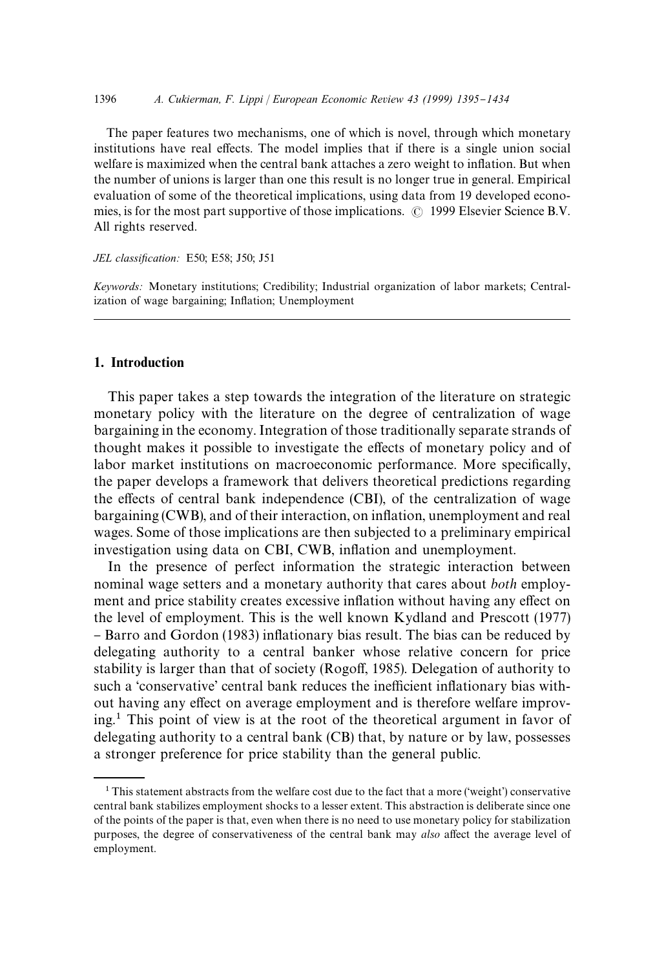The paper features two mechanisms, one of which is novel, through which monetary institutions have real effects. The model implies that if there is a single union social welfare is maximized when the central bank attaches a zero weight to inflation. But when the number of unions is larger than one this result is no longer true in general. Empirical evaluation of some of the theoretical implications, using data from 19 developed economies, is for the most part supportive of those implications.  $\odot$  1999 Elsevier Science B.V. All rights reserved.

#### *JEL classification:* E50; E58; J50; J51

*Keywords:* Monetary institutions; Credibility; Industrial organization of labor markets; Centralization of wage bargaining; Inflation; Unemployment

# 1. Introduction

This paper takes a step towards the integration of the literature on strategic monetary policy with the literature on the degree of centralization of wage bargaining in the economy. Integration of those traditionally separate strands of thought makes it possible to investigate the effects of monetary policy and of labor market institutions on macroeconomic performance. More specifically, the paper develops a framework that delivers theoretical predictions regarding the effects of central bank independence (CBI), of the centralization of wage bargaining (CWB), and of their interaction, on inflation, unemployment and real wages. Some of those implications are then subjected to a preliminary empirical investigation using data on CBI, CWB, inflation and unemployment.

In the presence of perfect information the strategic interaction between nominal wage setters and a monetary authority that cares about *both* employment and price stability creates excessive inflation without having any effect on the level of employment. This is the well known Kydland and Prescott (1977) - Barro and Gordon (1983) inflationary bias result. The bias can be reduced by delegating authority to a central banker whose relative concern for price stability is larger than that of society (Rogoff, 1985). Delegation of authority to such a 'conservative' central bank reduces the inefficient inflationary bias without having any effect on average employment and is therefore welfare improving.1 This point of view is at the root of the theoretical argument in favor of delegating authority to a central bank (CB) that, by nature or by law, possesses a stronger preference for price stability than the general public.

 $1$ <sup>1</sup> This statement abstracts from the welfare cost due to the fact that a more ('weight') conservative central bank stabilizes employment shocks to a lesser extent. This abstraction is deliberate since one of the points of the paper is that, even when there is no need to use monetary policy for stabilization purposes, the degree of conservativeness of the central bank may *also* affect the average level of employment.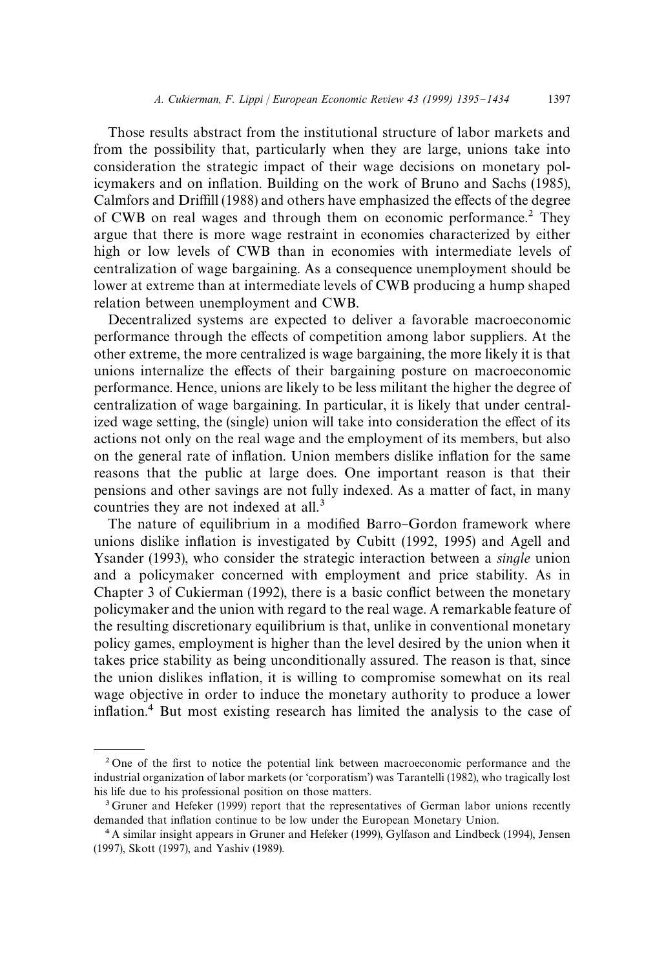Those results abstract from the institutional structure of labor markets and from the possibility that, particularly when they are large, unions take into consideration the strategic impact of their wage decisions on monetary policymakers and on inflation. Building on the work of Bruno and Sachs (1985), Calmfors and Driffill (1988) and others have emphasized the effects of the degree of CWB on real wages and through them on economic performance.2 They argue that there is more wage restraint in economies characterized by either high or low levels of CWB than in economies with intermediate levels of centralization of wage bargaining. As a consequence unemployment should be lower at extreme than at intermediate levels of CWB producing a hump shaped relation between unemployment and CWB.

Decentralized systems are expected to deliver a favorable macroeconomic performance through the effects of competition among labor suppliers. At the other extreme, the more centralized is wage bargaining, the more likely it is that unions internalize the effects of their bargaining posture on macroeconomic performance. Hence, unions are likely to be less militant the higher the degree of centralization of wage bargaining. In particular, it is likely that under centralized wage setting, the (single) union will take into consideration the effect of its actions not only on the real wage and the employment of its members, but also on the general rate of inflation. Union members dislike inflation for the same reasons that the public at large does. One important reason is that their pensions and other savings are not fully indexed. As a matter of fact, in many countries they are not indexed at all.<sup>3</sup>

The nature of equilibrium in a modified Barro-Gordon framework where unions dislike in#ation is investigated by Cubitt (1992, 1995) and Agell and Ysander (1993), who consider the strategic interaction between a *single* union and a policymaker concerned with employment and price stability. As in Chapter  $3$  of Cukierman (1992), there is a basic conflict between the monetary policymaker and the union with regard to the real wage. A remarkable feature of the resulting discretionary equilibrium is that, unlike in conventional monetary policy games, employment is higher than the level desired by the union when it takes price stability as being unconditionally assured. The reason is that, since the union dislikes inflation, it is willing to compromise somewhat on its real wage objective in order to induce the monetary authority to produce a lower inflation.<sup>4</sup> But most existing research has limited the analysis to the case of

 $2$  One of the first to notice the potential link between macroeconomic performance and the industrial organization of labor markets (or 'corporatism') was Tarantelli (1982), who tragically lost his life due to his professional position on those matters.

<sup>&</sup>lt;sup>3</sup> Gruner and Hefeker (1999) report that the representatives of German labor unions recently demanded that inflation continue to be low under the European Monetary Union.

<sup>4</sup> A similar insight appears in Gruner and Hefeker (1999), Gylfason and Lindbeck (1994), Jensen (1997), Skott (1997), and Yashiv (1989).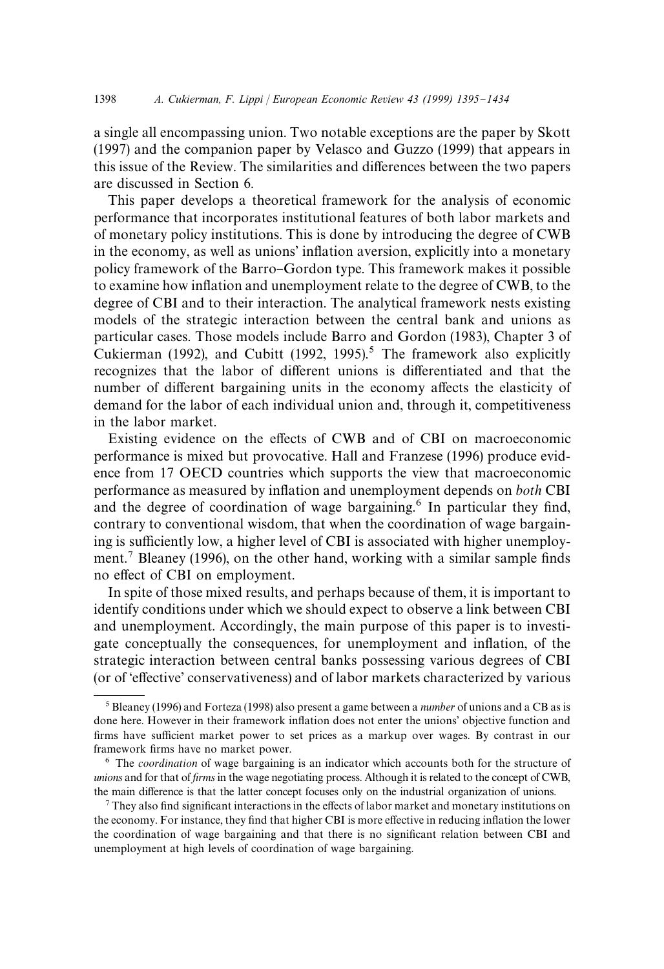a single all encompassing union. Two notable exceptions are the paper by Skott (1997) and the companion paper by Velasco and Guzzo (1999) that appears in this issue of the Review. The similarities and differences between the two papers are discussed in Section 6.

This paper develops a theoretical framework for the analysis of economic performance that incorporates institutional features of both labor markets and of monetary policy institutions. This is done by introducing the degree of CWB in the economy, as well as unions' inflation aversion, explicitly into a monetary policy framework of the Barro-Gordon type. This framework makes it possible to examine how in#ation and unemployment relate to the degree of CWB, to the degree of CBI and to their interaction. The analytical framework nests existing models of the strategic interaction between the central bank and unions as particular cases. Those models include Barro and Gordon (1983), Chapter 3 of Cukierman (1992), and Cubitt (1992, 1995).<sup>5</sup> The framework also explicitly recognizes that the labor of different unions is differentiated and that the number of different bargaining units in the economy affects the elasticity of demand for the labor of each individual union and, through it, competitiveness in the labor market.

Existing evidence on the effects of CWB and of CBI on macroeconomic performance is mixed but provocative. Hall and Franzese (1996) produce evidence from 17 OECD countries which supports the view that macroeconomic performance as measured by in#ation and unemployment depends on *both* CBI and the degree of coordination of wage bargaining.<sup>6</sup> In particular they find, contrary to conventional wisdom, that when the coordination of wage bargaining is sufficiently low, a higher level of CBI is associated with higher unemployment.<sup>7</sup> Bleaney (1996), on the other hand, working with a similar sample finds no effect of CBI on employment.

In spite of those mixed results, and perhaps because of them, it is important to identify conditions under which we should expect to observe a link between CBI and unemployment. Accordingly, the main purpose of this paper is to investigate conceptually the consequences, for unemployment and inflation, of the strategic interaction between central banks possessing various degrees of CBI (or of 'effective' conservativeness) and of labor markets characterized by various

 $<sup>7</sup>$  They also find significant interactions in the effects of labor market and monetary institutions on</sup> the economy. For instance, they find that higher CBI is more effective in reducing inflation the lower the coordination of wage bargaining and that there is no significant relation between CBI and unemployment at high levels of coordination of wage bargaining.

<sup>5</sup>Bleaney (1996) and Forteza (1998) also present a game between a *number* of unions and a CB as is done here. However in their framework inflation does not enter the unions' objective function and firms have sufficient market power to set prices as a markup over wages. By contrast in our framework firms have no market power.

<sup>6</sup> The *coordination* of wage bargaining is an indicator which accounts both for the structure of *unions* and for that of *firms* in the wage negotiating process. Although it is related to the concept of CWB, the main difference is that the latter concept focuses only on the industrial organization of unions.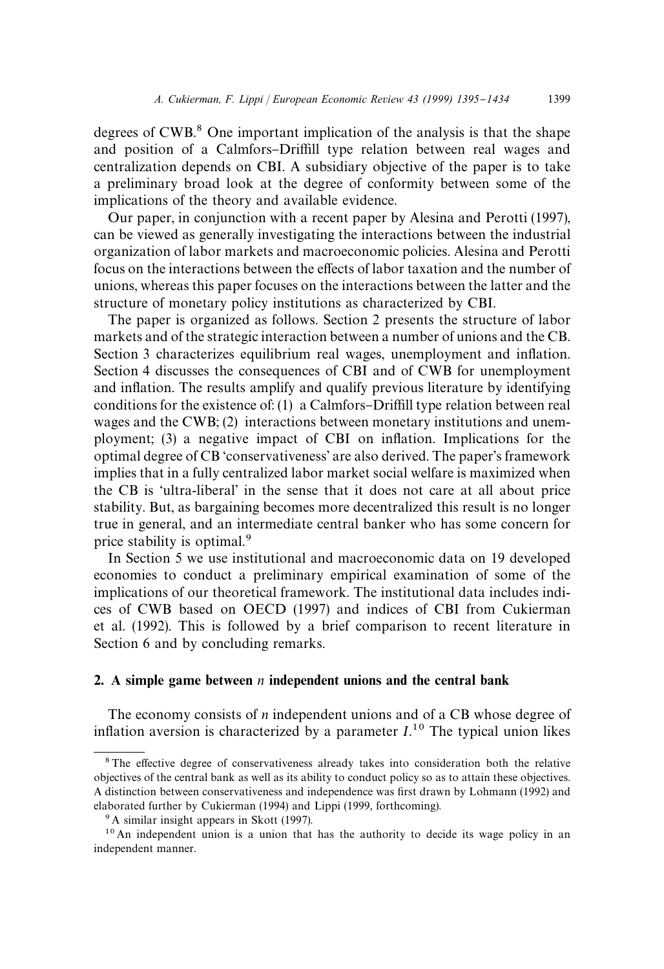degrees of  $CWB$ <sup>8</sup>. One important implication of the analysis is that the shape and position of a Calmfors-Driffill type relation between real wages and centralization depends on CBI. A subsidiary objective of the paper is to take a preliminary broad look at the degree of conformity between some of the implications of the theory and available evidence.

Our paper, in conjunction with a recent paper by Alesina and Perotti (1997), can be viewed as generally investigating the interactions between the industrial organization of labor markets and macroeconomic policies. Alesina and Perotti focus on the interactions between the effects of labor taxation and the number of unions, whereas this paper focuses on the interactions between the latter and the structure of monetary policy institutions as characterized by CBI.

The paper is organized as follows. Section 2 presents the structure of labor markets and of the strategic interaction between a number of unions and the CB. Section 3 characterizes equilibrium real wages, unemployment and inflation. Section 4 discusses the consequences of CBI and of CWB for unemployment and inflation. The results amplify and qualify previous literature by identifying conditions for the existence of: (1) a Calmfors–Driffill type relation between real wages and the CWB; (2) interactions between monetary institutions and unemployment; (3) a negative impact of CBI on inflation. Implications for the optimal degree of CB 'conservativeness' are also derived. The paper's framework implies that in a fully centralized labor market social welfare is maximized when the CB is 'ultra-liberal' in the sense that it does not care at all about price stability. But, as bargaining becomes more decentralized this result is no longer true in general, and an intermediate central banker who has some concern for price stability is optimal.<sup>9</sup>

In Section 5 we use institutional and macroeconomic data on 19 developed economies to conduct a preliminary empirical examination of some of the implications of our theoretical framework. The institutional data includes indices of CWB based on OECD (1997) and indices of CBI from Cukierman et al. (1992). This is followed by a brief comparison to recent literature in Section 6 and by concluding remarks.

# 2. A simple game between *n* independent unions and the central bank

The economy consists of *n* independent unions and of a CB whose degree of inflation aversion is characterized by a parameter  $I<sup>10</sup>$ . The typical union likes

<sup>&</sup>lt;sup>8</sup>The effective degree of conservativeness already takes into consideration both the relative objectives of the central bank as well as its ability to conduct policy so as to attain these objectives. A distinction between conservativeness and independence was first drawn by Lohmann (1992) and elaborated further by Cukierman (1994) and Lippi (1999, forthcoming).

<sup>&</sup>lt;sup>9</sup> A similar insight appears in Skott (1997).

 $10$  An independent union is a union that has the authority to decide its wage policy in an independent manner.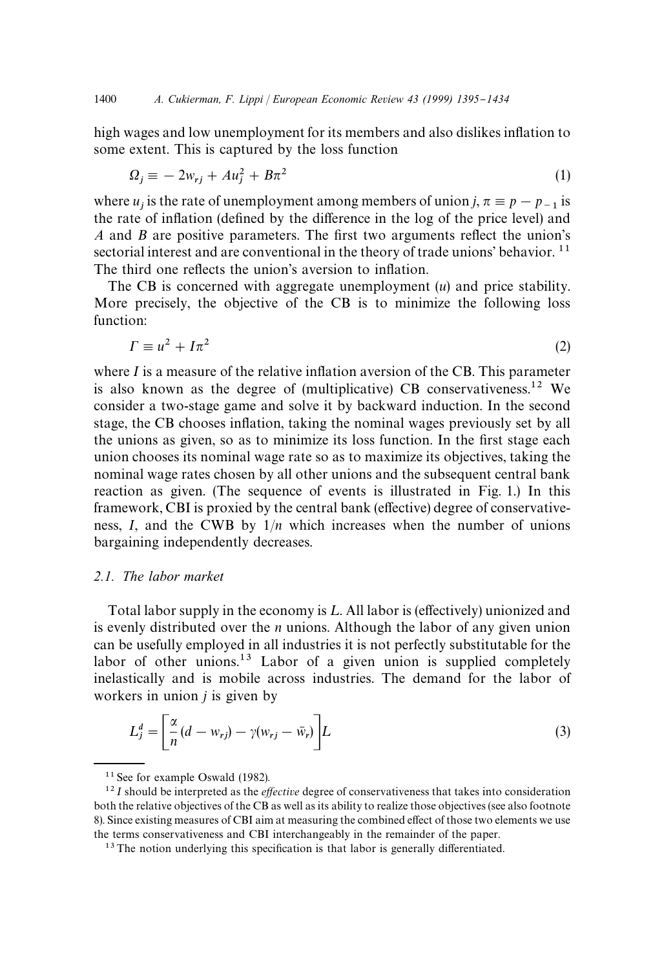high wages and low unemployment for its members and also dislikes inflation to some extent. This is captured by the loss function

$$
\Omega_j \equiv -2w_{rj} + Au_j^2 + B\pi^2 \tag{1}
$$

where  $u_j$  is the rate of unemployment among members of union *j*,  $\pi \equiv p - p_{-1}$  is the rate of inflation (defined by the difference in the log of the price level) and *A* and *B* are positive parameters. The first two arguments reflect the union's sectorial interest and are conventional in the theory of trade unions' behavior.  $11$ The third one reflects the union's aversion to inflation.

The CB is concerned with aggregate unemployment (*u*) and price stability. More precisely, the objective of the CB is to minimize the following loss function:

$$
\Gamma \equiv u^2 + I\pi^2 \tag{2}
$$

where  $I$  is a measure of the relative inflation aversion of the CB. This parameter is also known as the degree of (multiplicative) CB conservativeness.<sup>12</sup> We consider a two-stage game and solve it by backward induction. In the second stage, the CB chooses inflation, taking the nominal wages previously set by all the unions as given, so as to minimize its loss function. In the first stage each union chooses its nominal wage rate so as to maximize its objectives, taking the nominal wage rates chosen by all other unions and the subsequent central bank reaction as given. (The sequence of events is illustrated in Fig. 1.) In this framework, CBI is proxied by the central bank (effective) degree of conservativeness, *I*, and the CWB by 1/*n* which increases when the number of unions bargaining independently decreases.

#### *2.1. The labor market*

Total labor supply in the economy is  $L$ . All labor is (effectively) unionized and is evenly distributed over the *n* unions. Although the labor of any given union can be usefully employed in all industries it is not perfectly substitutable for the labor of other unions.<sup>13</sup> Labor of a given union is supplied completely inelastically and is mobile across industries. The demand for the labor of workers in union *j* is given by

$$
L_j^d = \left[\frac{\alpha}{n}(d - w_{rj}) - \gamma(w_{rj} - \bar{w}_r)\right]L
$$
\n(3)

<sup>&</sup>lt;sup>11</sup> See for example Oswald (1982).

 $^{12}I$  should be interpreted as the *effective* degree of conservativeness that takes into consideration both the relative objectives of the CB as well as its ability to realize those objectives (see also footnote 8). Since existing measures of CBI aim at measuring the combined effect of those two elements we use the terms conservativeness and CBI interchangeably in the remainder of the paper.

 $13$  The notion underlying this specification is that labor is generally differentiated.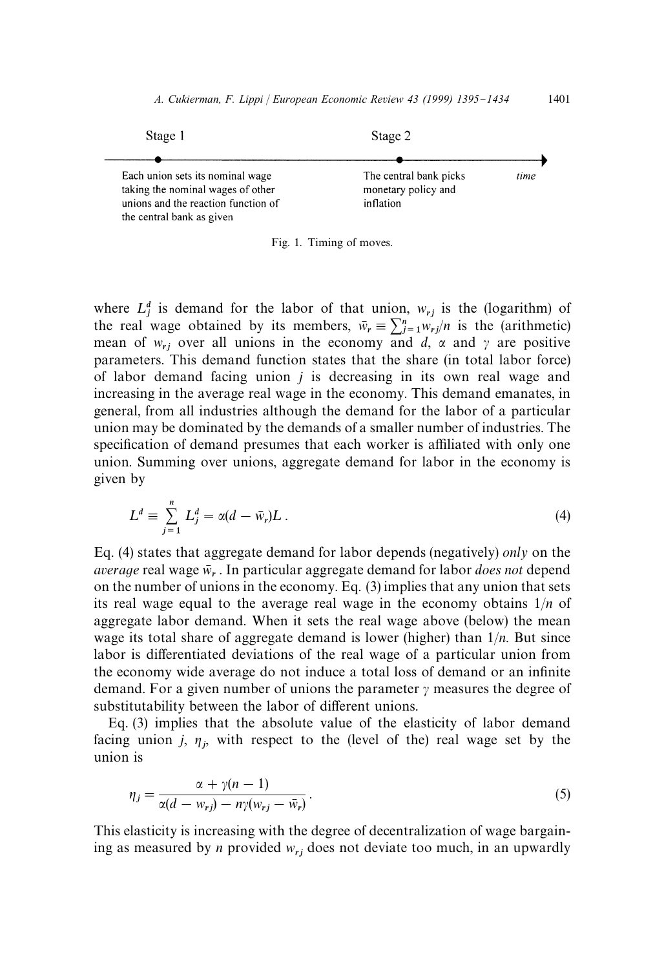

Fig. 1. Timing of moves.

where  $L_j^d$  is demand for the labor of that union,  $w_{rj}$  is the (logarithm) of the real wage obtained by its members,  $\bar{w}_r \equiv \sum_{j=1}^n w_{rj}/n$  is the (arithmetic) mean of  $w_{rj}$  over all unions in the economy and *d*,  $\alpha$  and  $\gamma$  are positive parameters. This demand function states that the share (in total labor force) of labor demand facing union *j* is decreasing in its own real wage and increasing in the average real wage in the economy. This demand emanates, in general, from all industries although the demand for the labor of a particular union may be dominated by the demands of a smaller number of industries. The specification of demand presumes that each worker is affiliated with only one union. Summing over unions, aggregate demand for labor in the economy is given by

$$
L^d \equiv \sum_{j=1}^n L_j^d = \alpha(d - \bar{w}_r)L \ . \tag{4}
$$

Eq. (4) states that aggregate demand for labor depends (negatively) *only* on the *average* real wage  $\bar{w}_r$ . In particular aggregate demand for labor *does not* depend on the number of unions in the economy. Eq. (3) implies that any union that sets its real wage equal to the average real wage in the economy obtains 1/*n* of aggregate labor demand. When it sets the real wage above (below) the mean wage its total share of aggregate demand is lower (higher) than 1/*n*. But since labor is differentiated deviations of the real wage of a particular union from the economy wide average do not induce a total loss of demand or an infinite demand. For a given number of unions the parameter  $\gamma$  measures the degree of substitutability between the labor of different unions.

Eq. (3) implies that the absolute value of the elasticity of labor demand facing union  $j$ ,  $\eta_j$ , with respect to the (level of the) real wage set by the union is

$$
\eta_j = \frac{\alpha + \gamma(n-1)}{\alpha(d - w_{rj}) - n\gamma(w_{rj} - \bar{w}_r)}.
$$
\n(5)

This elasticity is increasing with the degree of decentralization of wage bargaining as measured by *n* provided *w*rj does not deviate too much, in an upwardly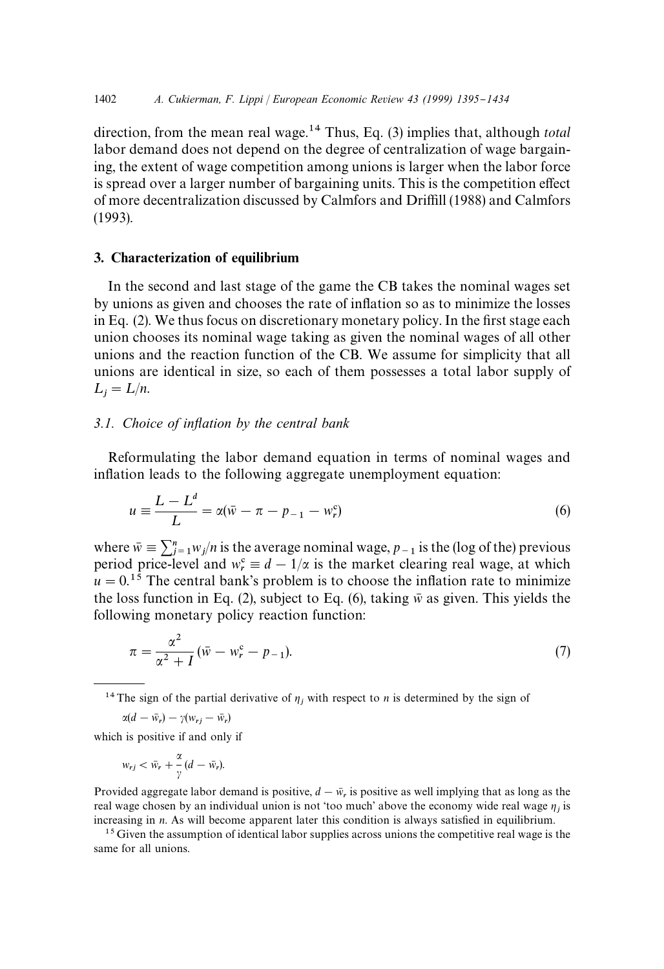direction, from the mean real wage.14 Thus, Eq. (3) implies that, although *total* labor demand does not depend on the degree of centralization of wage bargaining, the extent of wage competition among unions is larger when the labor force is spread over a larger number of bargaining units. This is the competition effect of more decentralization discussed by Calmfors and Driffill (1988) and Calmfors (1993).

# 3. Characterization of equilibrium

In the second and last stage of the game the CB takes the nominal wages set by unions as given and chooses the rate of in#ation so as to minimize the losses in Eq.  $(2)$ . We thus focus on discretionary monetary policy. In the first stage each union chooses its nominal wage taking as given the nominal wages of all other unions and the reaction function of the CB. We assume for simplicity that all unions are identical in size, so each of them possesses a total labor supply of  $L_j = L/n$ .

#### *3.1. Choice of inflation by the central bank*

Reformulating the labor demand equation in terms of nominal wages and inflation leads to the following aggregate unemployment equation:

$$
u = \frac{L - L^d}{L} = \alpha(\bar{w} - \pi - p_{-1} - w_r^c)
$$
 (6)

where  $\bar{w} = \sum_{j=1}^{n} w_j/n$  is the average nominal wage,  $p_{-1}$  is the (log of the) previous period price-level and  $w_r^c \equiv d - 1/\alpha$  is the market clearing real wage, at which  $u = 0.15$  The central bank's problem is to choose the inflation rate to minimize the loss function in Eq. (2), subject to Eq. (6), taking  $\bar{w}$  as given. This yields the following monetary policy reaction function:

$$
\pi = \frac{\alpha^2}{\alpha^2 + I} (\bar{w} - w_r^{\circ} - p_{-1}).
$$
\n(7)

<sup>14</sup> The sign of the partial derivative of  $\eta_j$  with respect to *n* is determined by the sign of

 $\alpha(d - \bar{w}_r) - \gamma(w_{rj} - \bar{w}_r)$ 

which is positive if and only if

$$
w_{rj} < \bar{w}_r + \frac{\alpha}{\gamma} (d - \bar{w}_r).
$$

Provided aggregate labor demand is positive,  $d - \bar{w}_r$  is positive as well implying that as long as the real wage chosen by an individual union is not 'too much' above the economy wide real wage  $\eta_j$  is increasing in *n*. As will become apparent later this condition is always satisfied in equilibrium.

<sup>15</sup> Given the assumption of identical labor supplies across unions the competitive real wage is the same for all unions.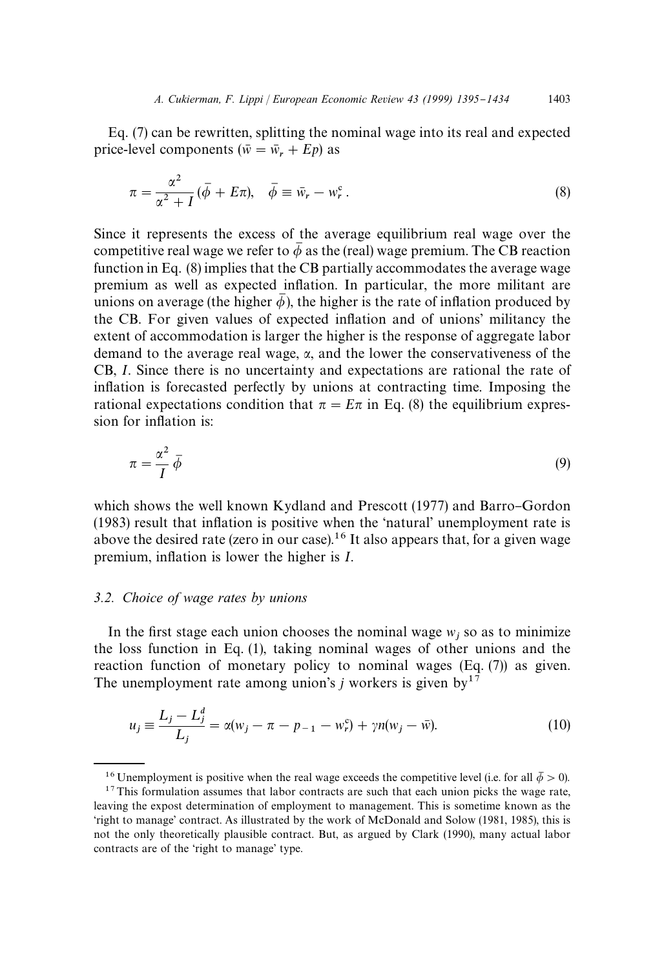Eq. (7) can be rewritten, splitting the nominal wage into its real and expected price-level components ( $\bar{w} = \bar{w}_r + Ep$ ) as

$$
\pi = \frac{\alpha^2}{\alpha^2 + I} (\bar{\phi} + E\pi), \quad \bar{\phi} \equiv \bar{w}_r - w_r^c. \tag{8}
$$

Since it represents the excess of the average equilibrium real wage over the competitive real wage we refer to  $\bar{\phi}$  as the (real) wage premium. The CB reaction function in Eq. (8) implies that the CB partially accommodates the average wage premium as well as expected in#ation. In particular, the more militant are unions on average (the higher  $\bar{\phi}$ ), the higher is the rate of inflation produced by the CB. For given values of expected inflation and of unions' militancy the extent of accommodation is larger the higher is the response of aggregate labor demand to the average real wage,  $\alpha$ , and the lower the conservativeness of the CB, *I*. Since there is no uncertainty and expectations are rational the rate of inflation is forecasted perfectly by unions at contracting time. Imposing the rational expectations condition that  $\pi = E\pi$  in Eq. (8) the equilibrium expression for inflation is:

$$
\pi = \frac{\alpha^2}{I} \bar{\phi} \tag{9}
$$

which shows the well known Kydland and Prescott (1977) and Barro-Gordon  $(1983)$  result that inflation is positive when the 'natural' unemployment rate is above the desired rate (zero in our case).<sup>16</sup> It also appears that, for a given wage premium, in#ation is lower the higher is *I*.

#### *3.2. Choice of wage rates by unions*

In the first stage each union chooses the nominal wage  $w_j$  so as to minimize the loss function in Eq. (1), taking nominal wages of other unions and the reaction function of monetary policy to nominal wages (Eq. (7)) as given. The unemployment rate among union's  $j$  workers is given by<sup>17</sup>

$$
u_j \equiv \frac{L_j - L_j^d}{L_j} = \alpha(w_j - \pi - p_{-1} - w_r^c) + \gamma n(w_j - \bar{w}).
$$
 (10)

<sup>&</sup>lt;sup>16</sup> Unemployment is positive when the real wage exceeds the competitive level (i.e. for all  $\bar{\phi} > 0$ ).  $17$ This formulation assumes that labor contracts are such that each union picks the wage rate, leaving the expost determination of employment to management. This is sometime known as the 'right to manage' contract. As illustrated by the work of McDonald and Solow (1981, 1985), this is not the only theoretically plausible contract. But, as argued by Clark (1990), many actual labor contracts are of the 'right to manage' type.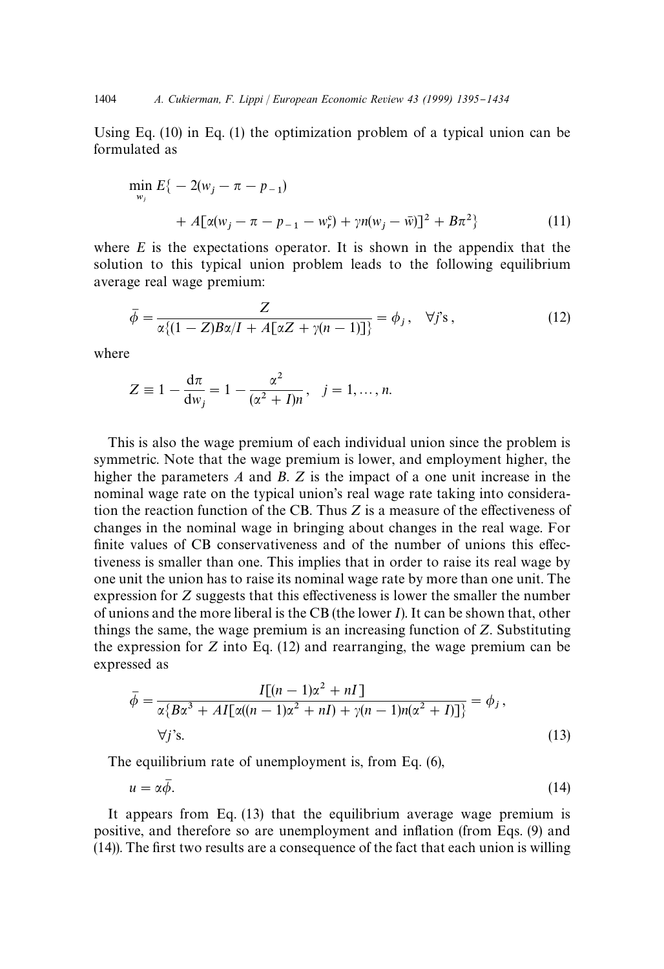Using Eq.  $(10)$  in Eq.  $(1)$  the optimization problem of a typical union can be formulated as

$$
\min_{w_j} E\{-2(w_j - \pi - p_{-1}) + A[\alpha(w_j - \pi - p_{-1} - w_r^c) + \gamma n(w_j - \bar{w})]^2 + B\pi^2\}
$$
\n(11)

where *E* is the expectations operator. It is shown in the appendix that the solution to this typical union problem leads to the following equilibrium average real wage premium:

$$
\bar{\phi} = \frac{Z}{\alpha \left\{ (1 - Z)B\alpha / I + A[\alpha Z + \gamma (n-1)] \right\}} = \phi_j, \quad \forall j \text{'s}, \tag{12}
$$

where

$$
Z \equiv 1 - \frac{d\pi}{dw_j} = 1 - \frac{\alpha^2}{(\alpha^2 + I)n}
$$
,  $j = 1, ..., n$ .

This is also the wage premium of each individual union since the problem is symmetric. Note that the wage premium is lower, and employment higher, the higher the parameters *A* and *B*. *Z* is the impact of a one unit increase in the nominal wage rate on the typical union's real wage rate taking into consideration the reaction function of the CB. Thus  $Z$  is a measure of the effectiveness of changes in the nominal wage in bringing about changes in the real wage. For finite values of CB conservativeness and of the number of unions this effectiveness is smaller than one. This implies that in order to raise its real wage by one unit the union has to raise its nominal wage rate by more than one unit. The expression for  $Z$  suggests that this effectiveness is lower the smaller the number of unions and the more liberal is the CB (the lower *I*). It can be shown that, other things the same, the wage premium is an increasing function of *Z*. Substituting the expression for *Z* into Eq. (12) and rearranging, the wage premium can be expressed as

$$
\bar{\phi} = \frac{I[(n-1)\alpha^2 + nI]}{\alpha \{B\alpha^3 + AI[\alpha((n-1)\alpha^2 + nI) + \gamma(n-1)n(\alpha^2 + I)]\}} = \phi_j,
$$
  
\n
$$
\forall j's.
$$
\n(13)

The equilibrium rate of unemployment is, from Eq. (6),

$$
u = \alpha \bar{\phi}.\tag{14}
$$

It appears from Eq. (13) that the equilibrium average wage premium is positive, and therefore so are unemployment and inflation (from Eqs. (9) and  $(14)$ ). The first two results are a consequence of the fact that each union is willing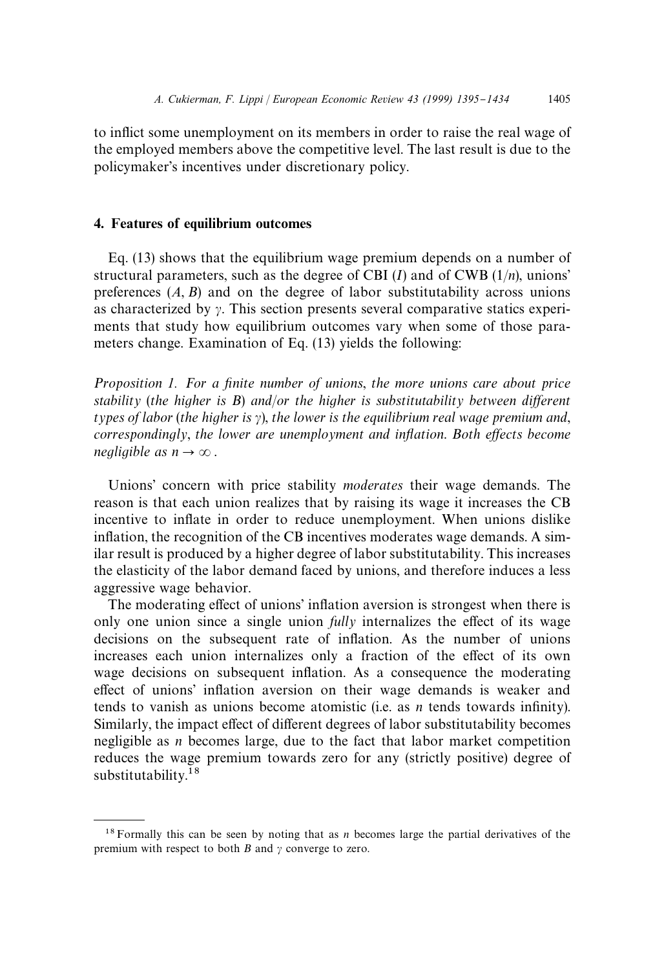to inflict some unemployment on its members in order to raise the real wage of the employed members above the competitive level. The last result is due to the policymaker's incentives under discretionary policy.

#### 4. Features of equilibrium outcomes

Eq. (13) shows that the equilibrium wage premium depends on a number of structural parameters, such as the degree of CBI (*I*) and of CWB (1/*n*), unions' preferences  $(A, B)$  and on the degree of labor substitutability across unions as characterized by  $\gamma$ . This section presents several comparative statics experiments that study how equilibrium outcomes vary when some of those parameters change. Examination of Eq. (13) yields the following:

*Proposition 1. For a finite number of unions, the more unions care about price stability* (*the higher is B*) *and/or the higher is substitutability between different*  $t$ *ypes of labor* (*the higher is*  $\gamma$ *), the lower is the equilibrium real wage premium and, correspondingly, the lower are unemployment and inflation. Both effects become negligible as*  $n \rightarrow \infty$ .

Unions' concern with price stability *moderates* their wage demands. The reason is that each union realizes that by raising its wage it increases the CB incentive to inflate in order to reduce unemployment. When unions dislike inflation, the recognition of the CB incentives moderates wage demands. A similar result is produced by a higher degree of labor substitutability. This increases the elasticity of the labor demand faced by unions, and therefore induces a less aggressive wage behavior.

The moderating effect of unions' inflation aversion is strongest when there is only one union since a single union  $\frac{f \cdot l}{l}$  internalizes the effect of its wage decisions on the subsequent rate of inflation. As the number of unions increases each union internalizes only a fraction of the effect of its own wage decisions on subsequent inflation. As a consequence the moderating effect of unions' inflation aversion on their wage demands is weaker and tends to vanish as unions become atomistic (i.e. as  $n$  tends towards infinity). Similarly, the impact effect of different degrees of labor substitutability becomes negligible as *n* becomes large, due to the fact that labor market competition reduces the wage premium towards zero for any (strictly positive) degree of substitutability.<sup>18</sup>

<sup>&</sup>lt;sup>18</sup> Formally this can be seen by noting that as *n* becomes large the partial derivatives of the premium with respect to both  $B$  and  $\gamma$  converge to zero.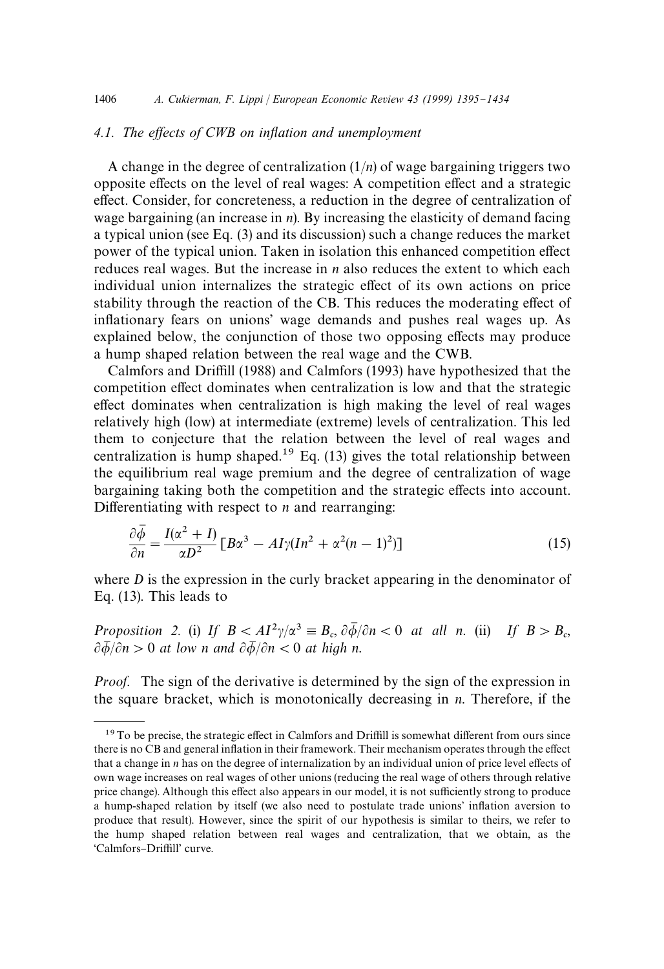# 4.1. The effects of CWB on inflation and unemployment

A change in the degree of centralization (1/*n*) of wage bargaining triggers two opposite effects on the level of real wages: A competition effect and a strategic effect. Consider, for concreteness, a reduction in the degree of centralization of wage bargaining (an increase in *n*). By increasing the elasticity of demand facing a typical union (see Eq. (3) and its discussion) such a change reduces the market power of the typical union. Taken in isolation this enhanced competition effect reduces real wages. But the increase in *n* also reduces the extent to which each individual union internalizes the strategic effect of its own actions on price stability through the reaction of the CB. This reduces the moderating effect of inflationary fears on unions' wage demands and pushes real wages up. As explained below, the conjunction of those two opposing effects may produce a hump shaped relation between the real wage and the CWB.

Calmfors and Driffill (1988) and Calmfors (1993) have hypothesized that the competition effect dominates when centralization is low and that the strategic effect dominates when centralization is high making the level of real wages relatively high (low) at intermediate (extreme) levels of centralization. This led them to conjecture that the relation between the level of real wages and centralization is hump shaped.<sup>19</sup> Eq. (13) gives the total relationship between the equilibrium real wage premium and the degree of centralization of wage bargaining taking both the competition and the strategic effects into account. Differentiating with respect to  $n$  and rearranging:

$$
\frac{\partial \overline{\phi}}{\partial n} = \frac{I(\alpha^2 + I)}{\alpha D^2} \left[ B\alpha^3 - A I \gamma (I n^2 + \alpha^2 (n-1)^2) \right] \tag{15}
$$

where *D* is the expression in the curly bracket appearing in the denominator of Eq. (13). This leads to

*Proposition* 2. (i) If  $B < A I^2 \gamma / \alpha^3 \equiv B_c$ ,  $\partial \overline{\phi} / \partial n < 0$  *at all n.* (ii) If  $B > B_c$ ,  $\partial \bar{\phi}/\partial n > 0$  at low *n* and  $\partial \bar{\phi}/\partial n < 0$  at high *n*.

*Proof*. The sign of the derivative is determined by the sign of the expression in the square bracket, which is monotonically decreasing in *n*. Therefore, if the

 $19$ To be precise, the strategic effect in Calmfors and Driffill is somewhat different from ours since there is no CB and general inflation in their framework. Their mechanism operates through the effect that a change in *n* has on the degree of internalization by an individual union of price level effects of own wage increases on real wages of other unions (reducing the real wage of others through relative price change). Although this effect also appears in our model, it is not sufficiently strong to produce a hump-shaped relation by itself (we also need to postulate trade unions' inflation aversion to produce that result). However, since the spirit of our hypothesis is similar to theirs, we refer to the hump shaped relation between real wages and centralization, that we obtain, as the 'Calmfors-Driffill' curve.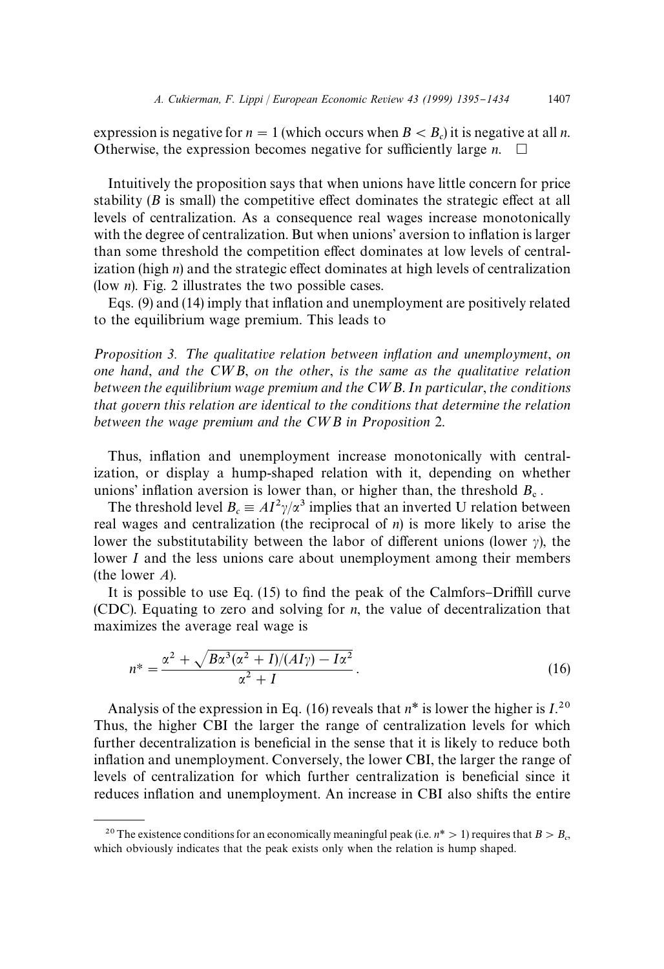expression is negative for  $n = 1$  (which occurs when  $B < B_c$ ) it is negative at all *n*. Otherwise, the expression becomes negative for sufficiently large  $n.$   $\Box$ 

Intuitively the proposition says that when unions have little concern for price stability  $(B$  is small) the competitive effect dominates the strategic effect at all levels of centralization. As a consequence real wages increase monotonically with the degree of centralization. But when unions' aversion to inflation is larger than some threshold the competition effect dominates at low levels of centralization (high  $n$ ) and the strategic effect dominates at high levels of centralization (low *n*). Fig. 2 illustrates the two possible cases.

Eqs.  $(9)$  and  $(14)$  imply that inflation and unemployment are positively related to the equilibrium wage premium. This leads to

*Proposition* 3. The qualitative relation between inflation and unemployment, on *one hand*, *and the C*=*B*, *on the other*, *is the same as the qualitative relation between the equilibrium wage premium and the C*=*B*. *In particular*, *the conditions that govern this relation are identical to the conditions that determine the relation between the wage premium and the C*=*B in Proposition* 2.

Thus, inflation and unemployment increase monotonically with centralization, or display a hump-shaped relation with it, depending on whether unions' inflation aversion is lower than, or higher than, the threshold  $B_{\rm c}$ .

The threshold level  $B_c \equiv A I^2 \gamma / \alpha^3$  implies that an inverted U relation between real wages and centralization (the reciprocal of *n*) is more likely to arise the lower the substitutability between the labor of different unions (lower  $\gamma$ ), the lower *I* and the less unions care about unemployment among their members (the lower *A*).

It is possible to use Eq.  $(15)$  to find the peak of the Calmfors–Driffill curve (CDC). Equating to zero and solving for *n*, the value of decentralization that maximizes the average real wage is

$$
n^* = \frac{\alpha^2 + \sqrt{B\alpha^3(\alpha^2 + I)/(AI\gamma) - I\alpha^2}}{\alpha^2 + I}.
$$
\n(16)

Analysis of the expression in Eq. (16) reveals that  $n^*$  is lower the higher is  $I^{20}$ . Thus, the higher CBI the larger the range of centralization levels for which further decentralization is beneficial in the sense that it is likely to reduce both inflation and unemployment. Conversely, the lower CBI, the larger the range of levels of centralization for which further centralization is beneficial since it reduces inflation and unemployment. An increase in CBI also shifts the entire

<sup>&</sup>lt;sup>20</sup> The existence conditions for an economically meaningful peak (i.e.  $n^*$  > 1) requires that  $B > B_c$ , which obviously indicates that the peak exists only when the relation is hump shaped.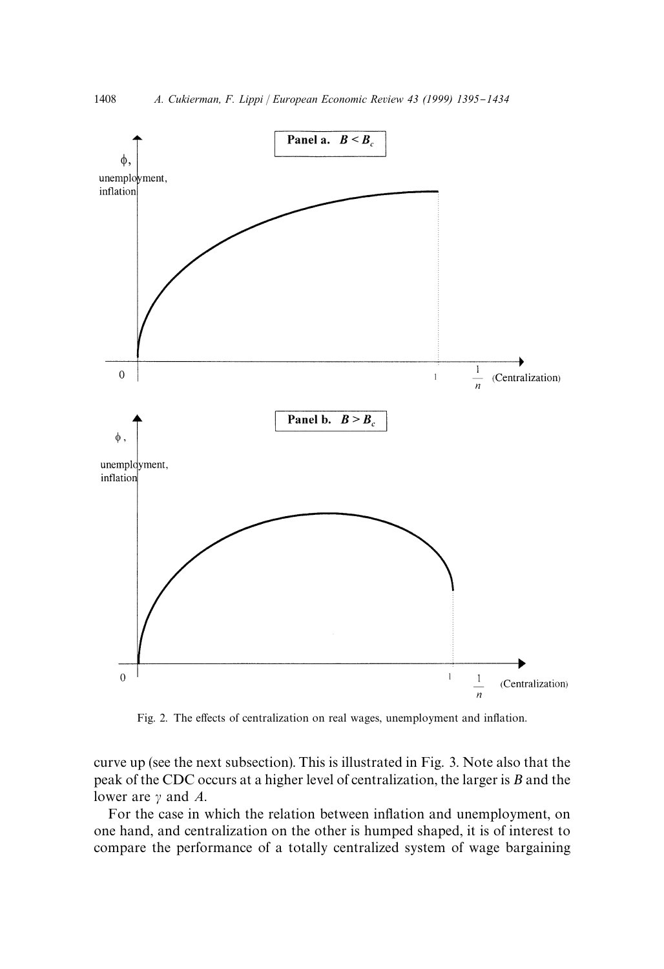

Fig. 2. The effects of centralization on real wages, unemployment and inflation.

curve up (see the next subsection). This is illustrated in Fig. 3. Note also that the peak of the CDC occurs at a higher level of centralization, the larger is *B* and the lower are  $\gamma$  and *A*.

For the case in which the relation between inflation and unemployment, on one hand, and centralization on the other is humped shaped, it is of interest to compare the performance of a totally centralized system of wage bargaining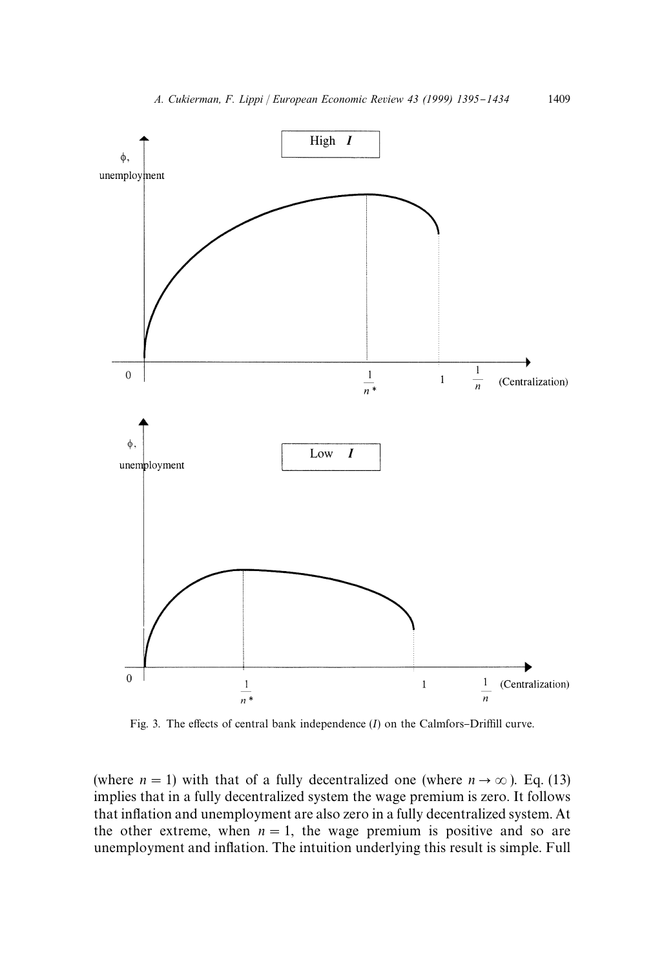

Fig. 3. The effects of central bank independence  $(I)$  on the Calmfors-Driffill curve.

(where  $n = 1$ ) with that of a fully decentralized one (where  $n \rightarrow \infty$ ). Eq. (13) implies that in a fully decentralized system the wage premium is zero. It follows that inflation and unemployment are also zero in a fully decentralized system. At the other extreme, when  $n = 1$ , the wage premium is positive and so are unemployment and inflation. The intuition underlying this result is simple. Full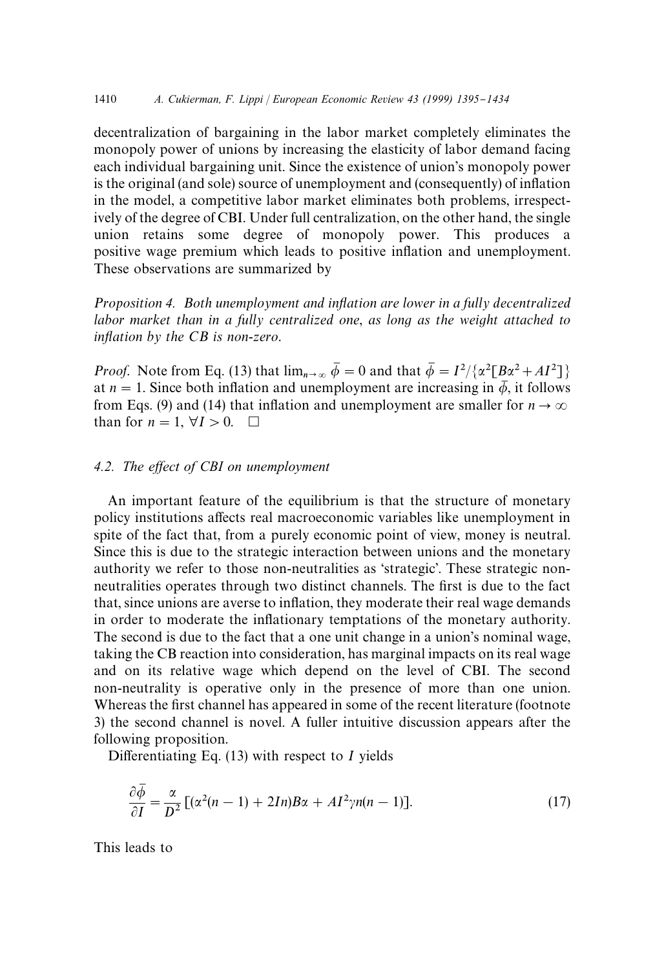decentralization of bargaining in the labor market completely eliminates the monopoly power of unions by increasing the elasticity of labor demand facing each individual bargaining unit. Since the existence of union's monopoly power is the original (and sole) source of unemployment and (consequently) of inflation in the model, a competitive labor market eliminates both problems, irrespectively of the degree of CBI. Under full centralization, on the other hand, the single union retains some degree of monopoly power. This produces a positive wage premium which leads to positive inflation and unemployment. These observations are summarized by

*Proposition* 4. *Both unemployment and inflation are lower in a fully decentralized labor market than in a fully centralized one*, *as long as the weight attached to inflation by the CB is non-zero.* 

*Proof.* Note from Eq. (13) that  $\lim_{n\to\infty} \bar{\phi} = 0$  and that  $\bar{\phi} = I^2/\{\alpha^2 \lceil B\alpha^2 + AI^2 \rceil\}$ at  $n = 1$ . Since both inflation and unemployment are increasing in  $\overline{\phi}$ , it follows from Eqs. (9) and (14) that inflation and unemployment are smaller for  $n \to \infty$ than for  $n = 1$ ,  $\forall I > 0$ .  $\Box$ 

# *4.2. The e*w*ect of CBI on unemployment*

An important feature of the equilibrium is that the structure of monetary policy institutions affects real macroeconomic variables like unemployment in spite of the fact that, from a purely economic point of view, money is neutral. Since this is due to the strategic interaction between unions and the monetary authority we refer to those non-neutralities as 'strategic'. These strategic nonneutralities operates through two distinct channels. The first is due to the fact that, since unions are averse to inflation, they moderate their real wage demands in order to moderate the inflationary temptations of the monetary authority. The second is due to the fact that a one unit change in a union's nominal wage, taking the CB reaction into consideration, has marginal impacts on its real wage and on its relative wage which depend on the level of CBI. The second non-neutrality is operative only in the presence of more than one union. Whereas the first channel has appeared in some of the recent literature (footnote 3) the second channel is novel. A fuller intuitive discussion appears after the following proposition.

Differentiating Eq.  $(13)$  with respect to *I* yields

$$
\frac{\partial \overline{\phi}}{\partial I} = \frac{\alpha}{D^2} \left[ (\alpha^2 (n-1) + 2In) B\alpha + A I^2 \gamma n(n-1) \right]. \tag{17}
$$

This leads to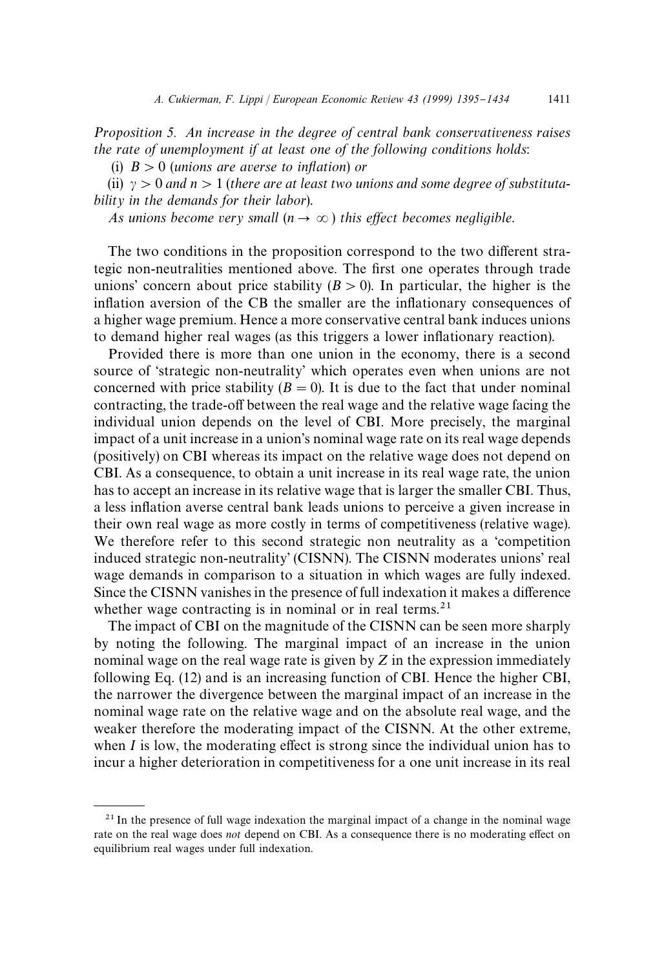*Proposition 5. An increase in the degree of central bank conservativeness raises the rate of unemployment if at least one of the following conditions holds*:

(i)  $B > 0$  (*unions are averse to inflation*) *or* 

(ii)  $y > 0$  and  $n > 1$  (*there are at least two unions and some degree of substitutability in the demands for their labor*).

*As unions become very small*  $(n \rightarrow \infty)$  *this effect becomes negligible.* 

The two conditions in the proposition correspond to the two different strategic non-neutralities mentioned above. The first one operates through trade unions' concern about price stability  $(B > 0)$ . In particular, the higher is the inflation aversion of the CB the smaller are the inflationary consequences of a higher wage premium. Hence a more conservative central bank induces unions to demand higher real wages (as this triggers a lower inflationary reaction).

Provided there is more than one union in the economy, there is a second source of 'strategic non-neutrality' which operates even when unions are not concerned with price stability  $(B = 0)$ . It is due to the fact that under nominal contracting, the trade-off between the real wage and the relative wage facing the individual union depends on the level of CBI. More precisely, the marginal impact of a unit increase in a union's nominal wage rate on its real wage depends (positively) on CBI whereas its impact on the relative wage does not depend on CBI. As a consequence, to obtain a unit increase in its real wage rate, the union has to accept an increase in its relative wage that is larger the smaller CBI. Thus, a less inflation averse central bank leads unions to perceive a given increase in their own real wage as more costly in terms of competitiveness (relative wage). We therefore refer to this second strategic non neutrality as a 'competition induced strategic non-neutrality' (CISNN). The CISNN moderates unions' real wage demands in comparison to a situation in which wages are fully indexed. Since the CISNN vanishes in the presence of full indexation it makes a difference whether wage contracting is in nominal or in real terms. $21$ 

The impact of CBI on the magnitude of the CISNN can be seen more sharply by noting the following. The marginal impact of an increase in the union nominal wage on the real wage rate is given by *Z* in the expression immediately following Eq. (12) and is an increasing function of CBI. Hence the higher CBI, the narrower the divergence between the marginal impact of an increase in the nominal wage rate on the relative wage and on the absolute real wage, and the weaker therefore the moderating impact of the CISNN. At the other extreme, when  $I$  is low, the moderating effect is strong since the individual union has to incur a higher deterioration in competitiveness for a one unit increase in its real

 $2<sup>1</sup>$  In the presence of full wage indexation the marginal impact of a change in the nominal wage rate on the real wage does *not* depend on CBI. As a consequence there is no moderating effect on equilibrium real wages under full indexation.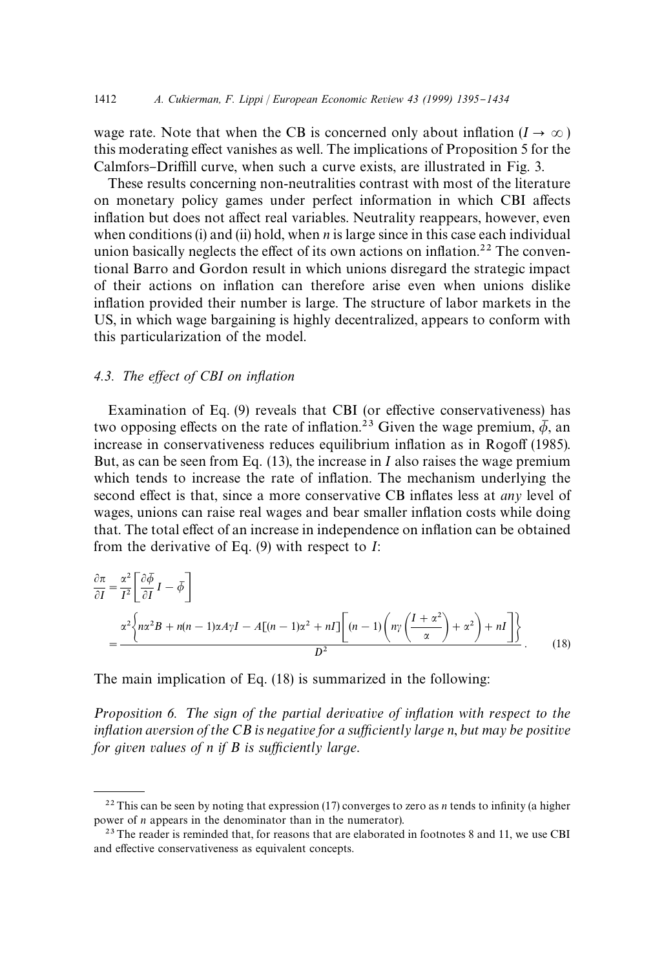wage rate. Note that when the CB is concerned only about inflation  $(I \rightarrow \infty)$ this moderating effect vanishes as well. The implications of Proposition 5 for the Calmfors–Driffill curve, when such a curve exists, are illustrated in Fig. 3.

These results concerning non-neutralities contrast with most of the literature on monetary policy games under perfect information in which CBI affects inflation but does not affect real variables. Neutrality reappears, however, even when conditions (i) and (ii) hold, when *n* is large since in this case each individual union basically neglects the effect of its own actions on inflation.<sup>22</sup> The conventional Barro and Gordon result in which unions disregard the strategic impact of their actions on in#ation can therefore arise even when unions dislike inflation provided their number is large. The structure of labor markets in the US, in which wage bargaining is highly decentralized, appears to conform with this particularization of the model.

#### 4.3. The effect of CBI on inflation

Examination of Eq.  $(9)$  reveals that CBI (or effective conservativeness) has two opposing effects on the rate of inflation.<sup>23</sup> Given the wage premium,  $\overline{\phi}$ , an increase in conservativeness reduces equilibrium inflation as in Rogoff (1985). But, as can be seen from Eq. (13), the increase in *I* also raises the wage premium which tends to increase the rate of inflation. The mechanism underlying the second effect is that, since a more conservative CB inflates less at *any* level of wages, unions can raise real wages and bear smaller inflation costs while doing that. The total effect of an increase in independence on inflation can be obtained from the derivative of Eq. (9) with respect to *I*:

$$
\frac{\partial \pi}{\partial I} = \frac{\alpha^2}{I^2} \left[ \frac{\partial \overline{\phi}}{\partial I} I - \overline{\phi} \right]
$$
  
= 
$$
\frac{\alpha^2 \left\{ n\alpha^2 B + n(n-1)\alpha A \gamma I - A[(n-1)\alpha^2 + nI] \left[ (n-1) \left( n\gamma \left( \frac{I + \alpha^2}{\alpha} \right) + \alpha^2 \right) + nI \right] \right\}}{D^2}.
$$
 (18)

The main implication of Eq. (18) is summarized in the following:

*Proposition* 6. The sign of the partial derivative of inflation with respect to the inflation aversion of the CB is negative for a sufficiently large n, but may be positive *for given values of n if B is sufficiently large.* 

<sup>&</sup>lt;sup>22</sup> This can be seen by noting that expression (17) converges to zero as *n* tends to infinity (a higher power of *n* appears in the denominator than in the numerator).

 $2<sup>3</sup>$  The reader is reminded that, for reasons that are elaborated in footnotes 8 and 11, we use CBI and effective conservativeness as equivalent concepts.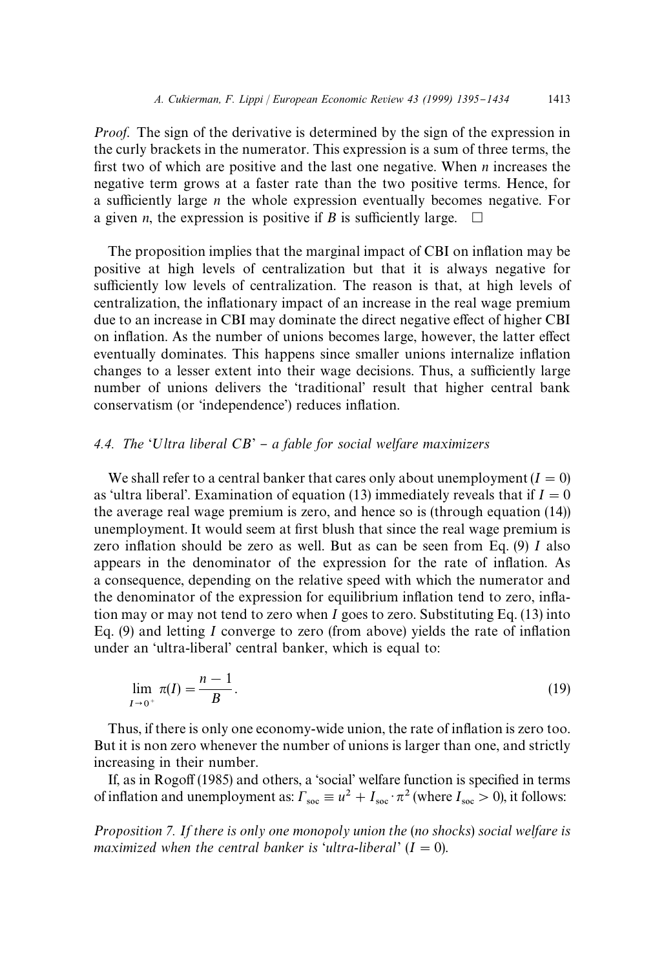*Proof.* The sign of the derivative is determined by the sign of the expression in the curly brackets in the numerator. This expression is a sum of three terms, the first two of which are positive and the last one negative. When  $n$  increases the negative term grows at a faster rate than the two positive terms. Hence, for a sufficiently large *n* the whole expression eventually becomes negative. For a given *n*, the expression is positive if *B* is sufficiently large.  $\Box$ a given *n*, the expression is positive if  $B$  is sufficiently large.

The proposition implies that the marginal impact of CBI on inflation may be positive at high levels of centralization but that it is always negative for sufficiently low levels of centralization. The reason is that, at high levels of centralization, the inflationary impact of an increase in the real wage premium due to an increase in CBI may dominate the direct negative effect of higher CBI on inflation. As the number of unions becomes large, however, the latter effect eventually dominates. This happens since smaller unions internalize inflation changes to a lesser extent into their wage decisions. Thus, a sufficiently large number of unions delivers the 'traditional' result that higher central bank conservatism (or 'independence') reduces inflation.

# 4.4. *The* 'Ultra liberal CB' – a fable for social welfare maximizers

We shall refer to a central banker that cares only about unemployment  $(I = 0)$ as 'ultra liberal'. Examination of equation (13) immediately reveals that if  $I = 0$ the average real wage premium is zero, and hence so is (through equation (14)) unemployment. It would seem at first blush that since the real wage premium is zero inflation should be zero as well. But as can be seen from Eq.  $(9)$  *I* also appears in the denominator of the expression for the rate of inflation. As a consequence, depending on the relative speed with which the numerator and the denominator of the expression for equilibrium inflation tend to zero, inflation may or may not tend to zero when *I* goes to zero. Substituting Eq. (13) into Eq.  $(9)$  and letting *I* converge to zero (from above) yields the rate of inflation under an 'ultra-liberal' central banker, which is equal to:

$$
\lim_{I \to 0^+} \pi(I) = \frac{n-1}{B}.\tag{19}
$$

Thus, if there is only one economy-wide union, the rate of inflation is zero too. But it is non zero whenever the number of unions is larger than one, and strictly increasing in their number.

If, as in Rogoff (1985) and others, a 'social' welfare function is specified in terms of inflation and unemployment as:  $\Gamma_{\text{soc}} \equiv u^2 + I_{\text{soc}} \cdot \pi^2$  (where  $I_{\text{soc}} > 0$ ), it follows:

*Proposition 7. If there is only one monopoly union the* (*no shocks*) *social welfare is maximized when the central banker is 'ultra-liberal'*  $(I = 0)$ .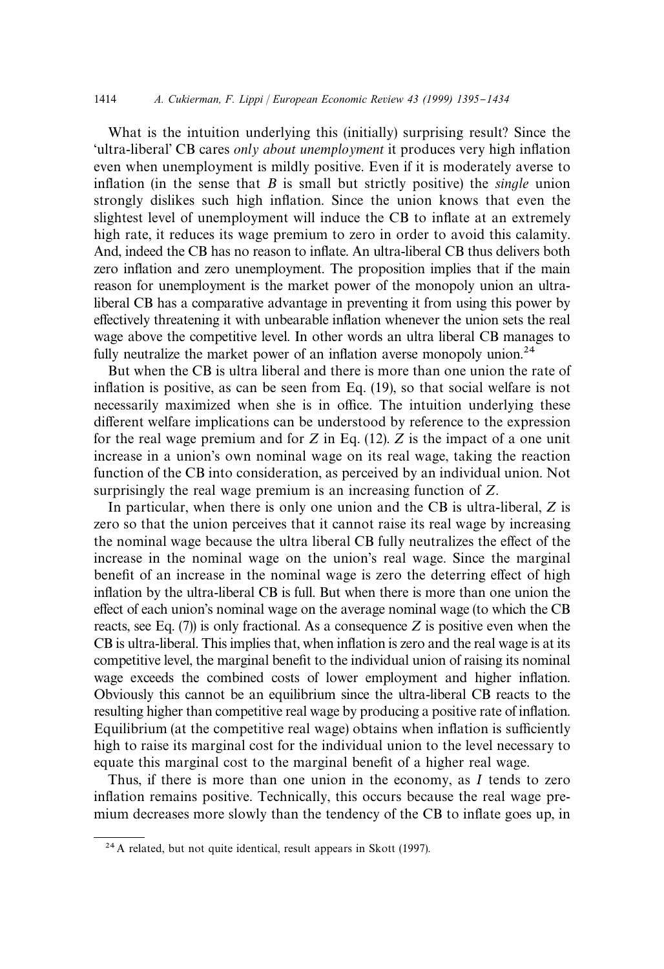What is the intuition underlying this (initially) surprising result? Since the 'ultra-liberal' CB cares *only about unemployment* it produces very high inflation even when unemployment is mildly positive. Even if it is moderately averse to inflation (in the sense that *B* is small but strictly positive) the *single* union strongly dislikes such high in#ation. Since the union knows that even the slightest level of unemployment will induce the CB to inflate at an extremely high rate, it reduces its wage premium to zero in order to avoid this calamity. And, indeed the CB has no reason to inflate. An ultra-liberal CB thus delivers both zero inflation and zero unemployment. The proposition implies that if the main reason for unemployment is the market power of the monopoly union an ultraliberal CB has a comparative advantage in preventing it from using this power by effectively threatening it with unbearable inflation whenever the union sets the real wage above the competitive level. In other words an ultra liberal CB manages to fully neutralize the market power of an inflation averse monopoly union.<sup>24</sup>

But when the CB is ultra liberal and there is more than one union the rate of inflation is positive, as can be seen from Eq. (19), so that social welfare is not necessarily maximized when she is in office. The intuition underlying these different welfare implications can be understood by reference to the expression for the real wage premium and for *Z* in Eq. (12). *Z* is the impact of a one unit increase in a union's own nominal wage on its real wage, taking the reaction function of the CB into consideration, as perceived by an individual union. Not surprisingly the real wage premium is an increasing function of *Z*.

In particular, when there is only one union and the CB is ultra-liberal, *Z* is zero so that the union perceives that it cannot raise its real wage by increasing the nominal wage because the ultra liberal CB fully neutralizes the effect of the increase in the nominal wage on the union's real wage. Since the marginal benefit of an increase in the nominal wage is zero the deterring effect of high inflation by the ultra-liberal CB is full. But when there is more than one union the effect of each union's nominal wage on the average nominal wage (to which the CB reacts, see Eq. (7)) is only fractional. As a consequence *Z* is positive even when the CB is ultra-liberal. This implies that, when inflation is zero and the real wage is at its competitive level, the marginal benefit to the individual union of raising its nominal wage exceeds the combined costs of lower employment and higher inflation. Obviously this cannot be an equilibrium since the ultra-liberal CB reacts to the resulting higher than competitive real wage by producing a positive rate of inflation. Equilibrium (at the competitive real wage) obtains when inflation is sufficiently high to raise its marginal cost for the individual union to the level necessary to equate this marginal cost to the marginal benefit of a higher real wage.

Thus, if there is more than one union in the economy, as *I* tends to zero inflation remains positive. Technically, this occurs because the real wage premium decreases more slowly than the tendency of the CB to inflate goes up, in

<sup>24</sup> A related, but not quite identical, result appears in Skott (1997).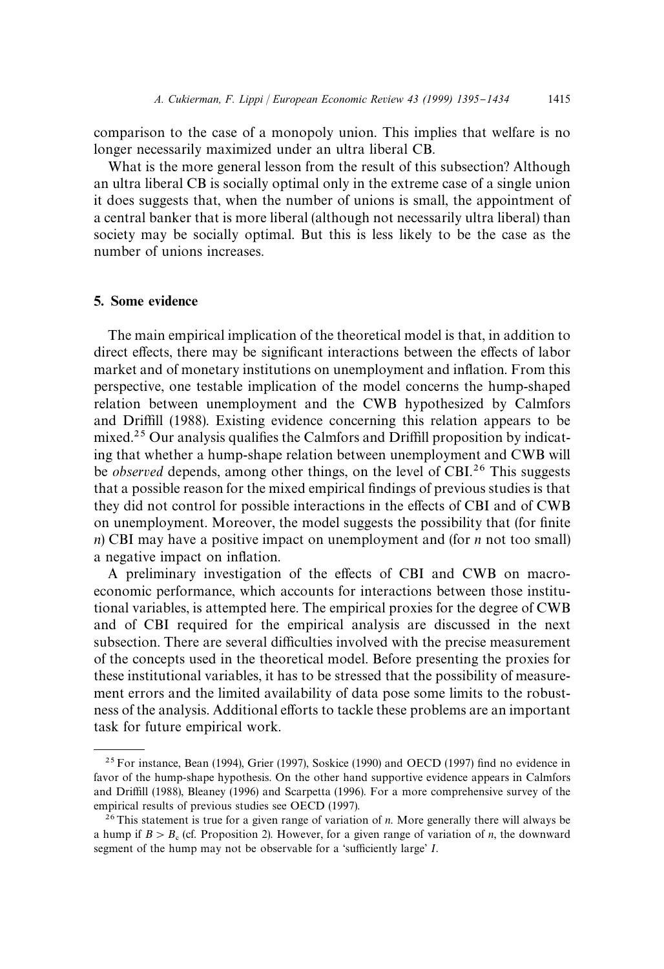comparison to the case of a monopoly union. This implies that welfare is no longer necessarily maximized under an ultra liberal CB.

What is the more general lesson from the result of this subsection? Although an ultra liberal CB is socially optimal only in the extreme case of a single union it does suggests that, when the number of unions is small, the appointment of a central banker that is more liberal (although not necessarily ultra liberal) than society may be socially optimal. But this is less likely to be the case as the number of unions increases.

# 5. Some evidence

The main empirical implication of the theoretical model is that, in addition to direct effects, there may be significant interactions between the effects of labor market and of monetary institutions on unemployment and inflation. From this perspective, one testable implication of the model concerns the hump-shaped relation between unemployment and the CWB hypothesized by Calmfors and Driffill (1988). Existing evidence concerning this relation appears to be mixed.<sup>25</sup> Our analysis qualifies the Calmfors and Driffill proposition by indicating that whether a hump-shape relation between unemployment and CWB will be *observed* depends, among other things, on the level of CBI.<sup>26</sup> This suggests that a possible reason for the mixed empirical findings of previous studies is that they did not control for possible interactions in the effects of CBI and of CWB on unemployment. Moreover, the model suggests the possibility that (for finite *n*) CBI may have a positive impact on unemployment and (for *n* not too small) a negative impact on inflation.

A preliminary investigation of the effects of CBI and CWB on macroeconomic performance, which accounts for interactions between those institutional variables, is attempted here. The empirical proxies for the degree of CWB and of CBI required for the empirical analysis are discussed in the next subsection. There are several difficulties involved with the precise measurement of the concepts used in the theoretical model. Before presenting the proxies for these institutional variables, it has to be stressed that the possibility of measurement errors and the limited availability of data pose some limits to the robustness of the analysis. Additional efforts to tackle these problems are an important task for future empirical work.

 $25$  For instance, Bean (1994), Grier (1997), Soskice (1990) and OECD (1997) find no evidence in favor of the hump-shape hypothesis. On the other hand supportive evidence appears in Calmfors and Driffill (1988), Bleaney (1996) and Scarpetta (1996). For a more comprehensive survey of the empirical results of previous studies see OECD (1997).

<sup>26</sup>This statement is true for a given range of variation of *n*. More generally there will always be a hump if  $B > B<sub>c</sub>$  (cf. Proposition 2). However, for a given range of variation of *n*, the downward segment of the hump may not be observable for a 'sufficiently large' *I*.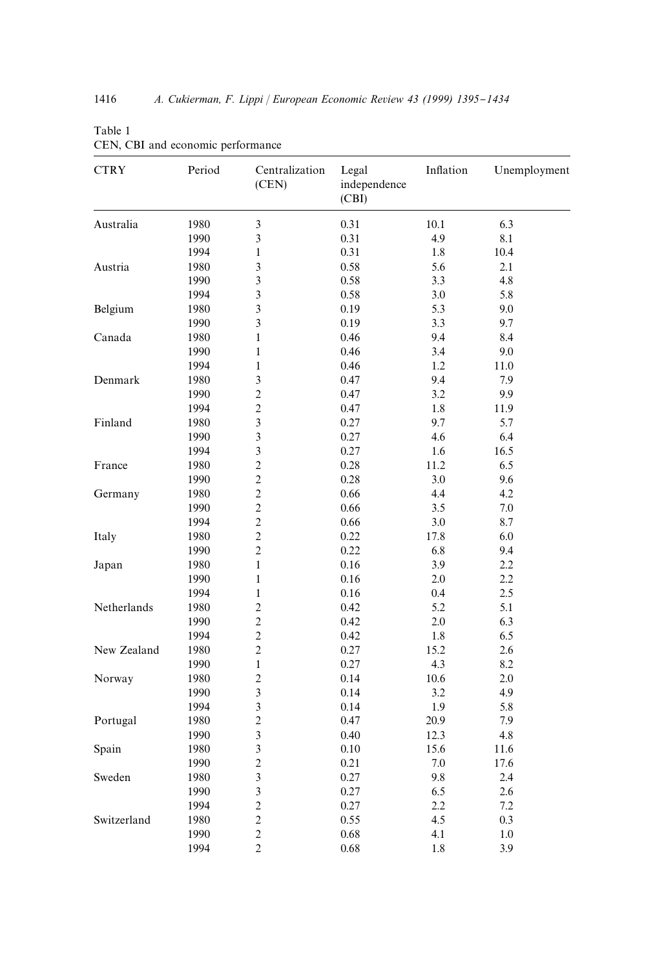| <b>CTRY</b> | Period | Centralization<br>(CEN) | Legal<br>independence<br>(CBI) | Inflation | Unemployment |
|-------------|--------|-------------------------|--------------------------------|-----------|--------------|
| Australia   | 1980   | 3                       | 0.31                           | 10.1      | 6.3          |
|             | 1990   | 3                       | 0.31                           | 4.9       | 8.1          |
|             | 1994   | $\mathbf{1}$            | 0.31                           | 1.8       | 10.4         |
| Austria     | 1980   | 3                       | 0.58                           | 5.6       | 2.1          |
|             | 1990   | 3                       | 0.58                           | 3.3       | 4.8          |
|             | 1994   | $\overline{\mathbf{3}}$ | 0.58                           | 3.0       | 5.8          |
| Belgium     | 1980   | 3                       | 0.19                           | 5.3       | 9.0          |
|             | 1990   | $\overline{\mathbf{3}}$ | 0.19                           | 3.3       | 9.7          |
| Canada      | 1980   | $\mathbf{1}$            | 0.46                           | 9.4       | 8.4          |
|             | 1990   | $\mathbf{1}$            | 0.46                           | 3.4       | 9.0          |
|             | 1994   | $\mathbf{1}$            | 0.46                           | 1.2       | 11.0         |
| Denmark     | 1980   | $\overline{\mathbf{3}}$ | 0.47                           | 9.4       | 7.9          |
|             | 1990   | $\overline{c}$          | 0.47                           | 3.2       | 9.9          |
|             | 1994   | $\overline{c}$          | 0.47                           | 1.8       | 11.9         |
| Finland     | 1980   | $\overline{\mathbf{3}}$ | 0.27                           | 9.7       | 5.7          |
|             | 1990   | $\overline{\mathbf{3}}$ | 0.27                           | 4.6       | 6.4          |
|             | 1994   | 3                       | 0.27                           | 1.6       | 16.5         |
| France      | 1980   | $\overline{2}$          | 0.28                           | 11.2      | 6.5          |
|             | 1990   | $\overline{c}$          | 0.28                           | 3.0       | 9.6          |
| Germany     | 1980   | $\overline{c}$          | 0.66                           | 4.4       | 4.2          |
|             | 1990   | $\overline{c}$          | 0.66                           | 3.5       | 7.0          |
|             | 1994   | $\overline{c}$          | 0.66                           | 3.0       | 8.7          |
| Italy       | 1980   | $\overline{c}$          | 0.22                           | 17.8      | 6.0          |
|             | 1990   | $\overline{c}$          | 0.22                           | 6.8       | 9.4          |
| Japan       | 1980   | $\mathbf{1}$            | 0.16                           | 3.9       | 2.2          |
|             | 1990   | $\mathbf{1}$            | 0.16                           | 2.0       | 2.2          |
|             | 1994   | $\mathbf{1}$            | 0.16                           | 0.4       | 2.5          |
| Netherlands | 1980   | $\overline{c}$          | 0.42                           | 5.2       | 5.1          |
|             | 1990   | $\overline{c}$          | 0.42                           | 2.0       | 6.3          |
|             | 1994   | $\overline{c}$          | 0.42                           | 1.8       | 6.5          |
| New Zealand | 1980   | $\overline{c}$          | 0.27                           | 15.2      | 2.6          |
|             | 1990   | $\,1\,$                 | 0.27                           | 4.3       | 8.2          |
| Norway      | 1980   | $\overline{c}$          | 0.14                           | 10.6      | 2.0          |
|             | 1990   | 3                       | 0.14                           | 3.2       | 4.9          |
|             | 1994   | $\overline{\mathbf{3}}$ | 0.14                           | 1.9       | 5.8          |
| Portugal    | 1980   | $\overline{c}$          | 0.47                           | 20.9      | 7.9          |
|             |        | $\overline{\mathbf{3}}$ |                                | 12.3      | 4.8          |
|             | 1990   | $\mathfrak{Z}$          | 0.40                           | 15.6      |              |
| Spain       | 1980   | $\overline{c}$          | 0.10                           |           | 11.6         |
|             | 1990   |                         | 0.21                           | 7.0       | 17.6         |
| Sweden      | 1980   | $\mathfrak{Z}$          | 0.27                           | 9.8       | 2.4          |
|             | 1990   | $\overline{\mathbf{3}}$ | 0.27                           | 6.5       | 2.6          |
|             | 1994   | $\overline{c}$          | 0.27                           | 2.2       | 7.2          |
| Switzerland | 1980   | $\overline{c}$          | 0.55                           | 4.5       | 0.3          |
|             | 1990   | $\overline{c}$          | 0.68                           | 4.1       | 1.0          |
|             | 1994   | $\overline{c}$          | 0.68                           | 1.8       | 3.9          |

Table 1 CEN, CBI and economic performance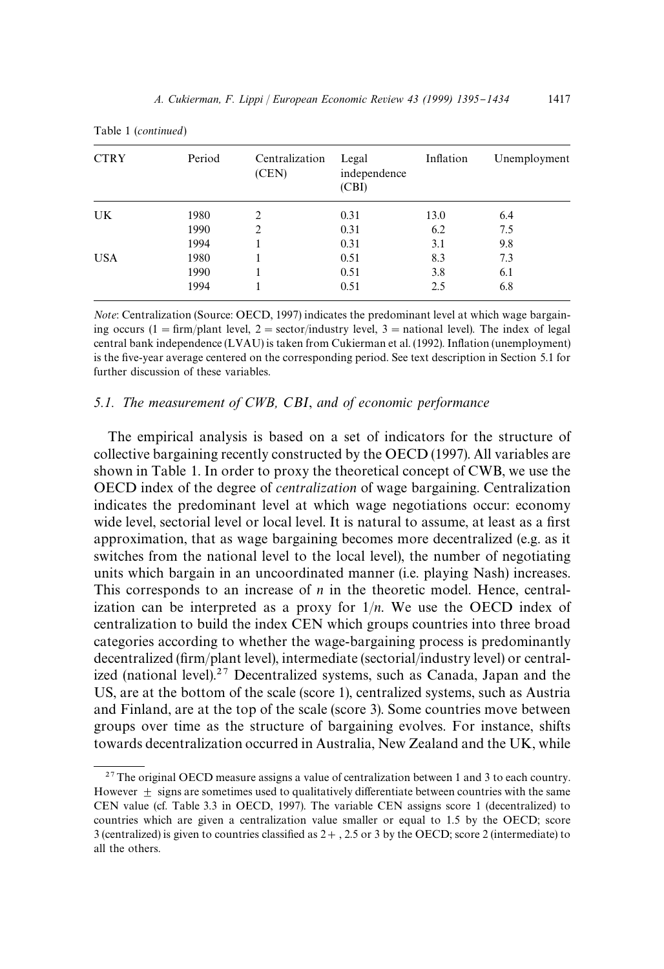| <b>CTRY</b> | Period | Centralization<br>(CEN) | Legal<br>independence<br>(CBI) | Inflation | Unemployment |
|-------------|--------|-------------------------|--------------------------------|-----------|--------------|
| UK          | 1980   | $\overline{c}$          | 0.31                           | 13.0      | 6.4          |
|             | 1990   | $\overline{c}$          | 0.31                           | 6.2       | 7.5          |
|             | 1994   |                         | 0.31                           | 3.1       | 9.8          |
| <b>USA</b>  | 1980   |                         | 0.51                           | 8.3       | 7.3          |
|             | 1990   |                         | 0.51                           | 3.8       | 6.1          |
|             | 1994   |                         | 0.51                           | 2.5       | 6.8          |
|             |        |                         |                                |           |              |

Table 1 (*continued*)

*Note*: Centralization (Source: OECD, 1997) indicates the predominant level at which wage bargaining occurs (1 = firm/plant level, 2 = sector/industry level, 3 = national level). The index of legal central bank independence (LVAU) is taken from Cukierman et al. (1992). In#ation (unemployment) is the five-year average centered on the corresponding period. See text description in Section 5.1 for further discussion of these variables.

#### *5.1. The measurement of CWB, CBI*, *and of economic performance*

The empirical analysis is based on a set of indicators for the structure of collective bargaining recently constructed by the OECD (1997). All variables are shown in Table 1. In order to proxy the theoretical concept of CWB, we use the OECD index of the degree of *centralization* of wage bargaining. Centralization indicates the predominant level at which wage negotiations occur: economy wide level, sectorial level or local level. It is natural to assume, at least as a first approximation, that as wage bargaining becomes more decentralized (e.g. as it switches from the national level to the local level), the number of negotiating units which bargain in an uncoordinated manner (i.e. playing Nash) increases. This corresponds to an increase of *n* in the theoretic model. Hence, centralization can be interpreted as a proxy for  $1/n$ . We use the OECD index of centralization to build the index CEN which groups countries into three broad categories according to whether the wage-bargaining process is predominantly decentralized (firm/plant level), intermediate (sectorial/industry level) or centralized (national level).<sup>27</sup> Decentralized systems, such as Canada, Japan and the US, are at the bottom of the scale (score 1), centralized systems, such as Austria and Finland, are at the top of the scale (score 3). Some countries move between groups over time as the structure of bargaining evolves. For instance, shifts towards decentralization occurred in Australia, New Zealand and the UK, while

 $27$ The original OECD measure assigns a value of centralization between 1 and 3 to each country. However  $\pm$  signs are sometimes used to qualitatively differentiate between countries with the same CEN value (cf. Table 3.3 in OECD, 1997). The variable CEN assigns score 1 (decentralized) to countries which are given a centralization value smaller or equal to 1.5 by the OECD; score 3 (centralized) is given to countries classified as  $2 + 1$ , 2.5 or 3 by the OECD; score 2 (intermediate) to all the others.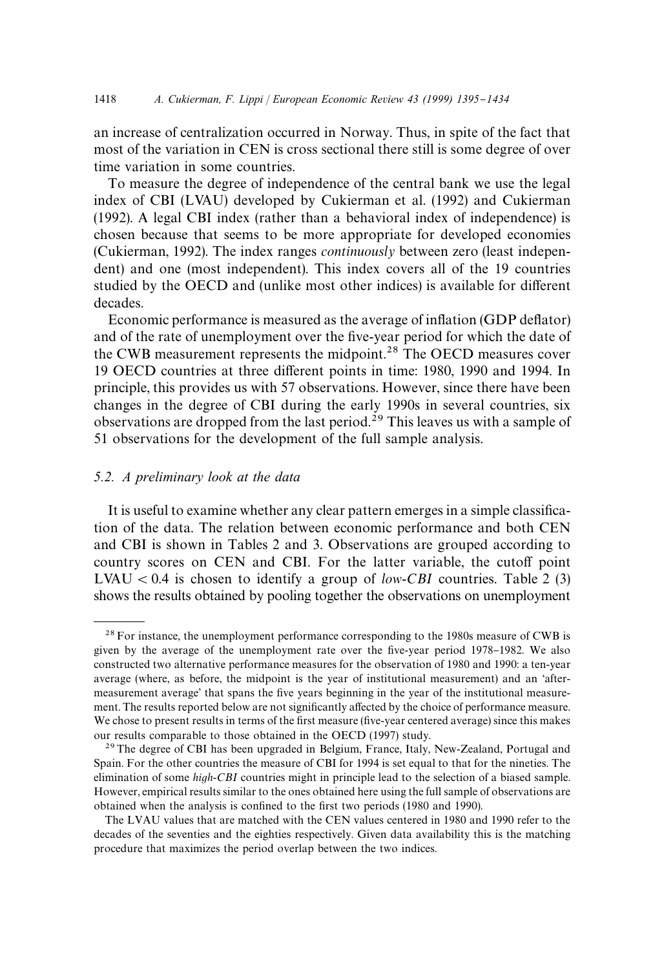an increase of centralization occurred in Norway. Thus, in spite of the fact that most of the variation in CEN is cross sectional there still is some degree of over time variation in some countries.

To measure the degree of independence of the central bank we use the legal index of CBI (LVAU) developed by Cukierman et al. (1992) and Cukierman (1992). A legal CBI index (rather than a behavioral index of independence) is chosen because that seems to be more appropriate for developed economies (Cukierman, 1992). The index ranges *continuously* between zero (least independent) and one (most independent). This index covers all of the 19 countries studied by the OECD and (unlike most other indices) is available for different decades.

Economic performance is measured as the average of inflation (GDP deflator) and of the rate of unemployment over the five-year period for which the date of the CWB measurement represents the midpoint.<sup>28</sup> The OECD measures cover 19 OECD countries at three different points in time: 1980, 1990 and 1994. In principle, this provides us with 57 observations. However, since there have been changes in the degree of CBI during the early 1990s in several countries, six observations are dropped from the last period.<sup>29</sup> This leaves us with a sample of 51 observations for the development of the full sample analysis.

# *5.2. A preliminary look at the data*

It is useful to examine whether any clear pattern emerges in a simple classification of the data. The relation between economic performance and both CEN and CBI is shown in Tables 2 and 3. Observations are grouped according to country scores on CEN and CBI. For the latter variable, the cutoff point LVAU  $< 0.4$  is chosen to identify a group of *low-CBI* countries. Table 2 (3) shows the results obtained by pooling together the observations on unemployment

<sup>&</sup>lt;sup>28</sup> For instance, the unemployment performance corresponding to the 1980s measure of CWB is given by the average of the unemployment rate over the five-year period 1978–1982. We also constructed two alternative performance measures for the observation of 1980 and 1990: a ten-year average (where, as before, the midpoint is the year of institutional measurement) and an 'aftermeasurement average' that spans the five years beginning in the year of the institutional measurement. The results reported below are not significantly affected by the choice of performance measure. We chose to present results in terms of the first measure (five-year centered average) since this makes our results comparable to those obtained in the OECD (1997) study.

<sup>&</sup>lt;sup>29</sup>The degree of CBI has been upgraded in Belgium, France, Italy, New-Zealand, Portugal and Spain. For the other countries the measure of CBI for 1994 is set equal to that for the nineties. The elimination of some *high*-*CBI* countries might in principle lead to the selection of a biased sample. However, empirical results similar to the ones obtained here using the full sample of observations are obtained when the analysis is confined to the first two periods (1980 and 1990).

The LVAU values that are matched with the CEN values centered in 1980 and 1990 refer to the decades of the seventies and the eighties respectively. Given data availability this is the matching procedure that maximizes the period overlap between the two indices.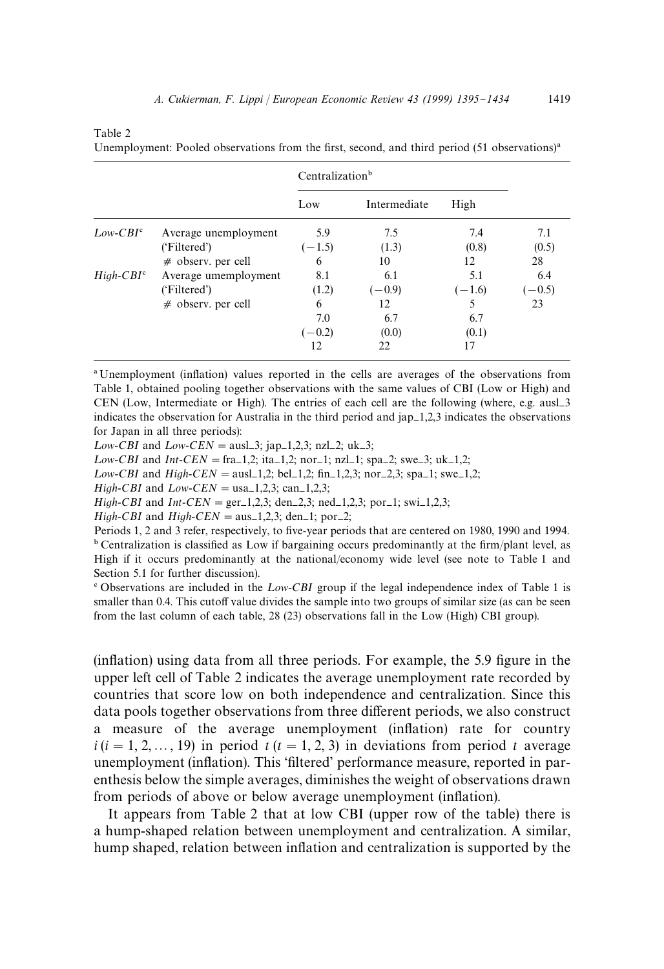|             |                      | Centralization <sup>b</sup> |              |          |        |
|-------------|----------------------|-----------------------------|--------------|----------|--------|
|             |                      | Low                         | Intermediate | High     |        |
| $Low-CBIc$  | Average unemployment | 5.9                         | 7.5          | 7.4      | 7.1    |
|             | ('Filtered')         | $(-1.5)$                    | (1.3)        | (0.8)    | (0.5)  |
|             | $#$ observ. per cell | 6                           | 10           | 12       | 28     |
| $High-CBIc$ | Average umemployment | 8.1                         | 6.1          | 5.1      | 6.4    |
|             | ('Filtered')         | (1.2)                       | $(-0.9)$     | $(-1.6)$ | $-0.5$ |
|             | $#$ observ. per cell | 6                           | 12           |          | 23     |
|             |                      | 7.0                         | 6.7          | 6.7      |        |
|             |                      | $(-0.2)$                    | (0.0)        | (0.1)    |        |
|             |                      | 12                          | 22           | 17       |        |

Unemployment: Pooled observations from the first, second, and third period  $(51$  observations)<sup>a</sup>

<sup>a</sup> Unemployment (inflation) values reported in the cells are averages of the observations from Table 1, obtained pooling together observations with the same values of CBI (Low or High) and CEN (Low, Intermediate or High). The entries of each cell are the following (where, e.g. ausl\_3 indicates the observation for Australia in the third period and  $\text{ap}=1,2,3$  indicates the observations for Japan in all three periods):

*Low-CBI* and *Low-CEN* = ausl\_3; jap\_1,2,3; nzl\_2; uk\_3;

*Low-CBI* and *Int-CEN* = fra-1,2; ita-1,2; nor-1; nzl-1; spa-2; swe-3; uk-1,2;

*Low-CBI* and *High-CEN* = ausl\_1,2; bel\_1,2;  $\text{fin}_1, 2, 3$ ; nor\_2,3; spa\_1; swe\_1,2;

*High-CBI* and  $Low-CEN = usa-1,2,3$ ; can-1,2,3;

Table 2

*High-CBI* and *Int-CEN* = ger<sub>-1</sub>,2,3; den<sub>-2</sub>,3; ned<sub>-1</sub>,2,3; por<sub>-1</sub>; swi-1,2,3;

*High-CBI* and *High-CEN* = aus\_1,2,3; den\_1; por\_2;

Periods 1, 2 and 3 refer, respectively, to five-year periods that are centered on 1980, 1990 and 1994.  $b$  Centralization is classified as Low if bargaining occurs predominantly at the firm/plant level, as High if it occurs predominantly at the national/economy wide level (see note to Table 1 and Section 5.1 for further discussion).

<sup>e</sup> Observations are included in the *Low-CBI* group if the legal independence index of Table 1 is smaller than 0.4. This cutoff value divides the sample into two groups of similar size (as can be seen from the last column of each table, 28 (23) observations fall in the Low (High) CBI group).

(inflation) using data from all three periods. For example, the 5.9 figure in the upper left cell of Table 2 indicates the average unemployment rate recorded by countries that score low on both independence and centralization. Since this data pools together observations from three different periods, we also construct a measure of the average unemployment (inflation) rate for country  $i(i = 1, 2, ..., 19)$  in period  $t(i = 1, 2, 3)$  in deviations from period  $t$  average unemployment (inflation). This 'filtered' performance measure, reported in parenthesis below the simple averages, diminishes the weight of observations drawn from periods of above or below average unemployment (inflation).

It appears from Table 2 that at low CBI (upper row of the table) there is a hump-shaped relation between unemployment and centralization. A similar, hump shaped, relation between inflation and centralization is supported by the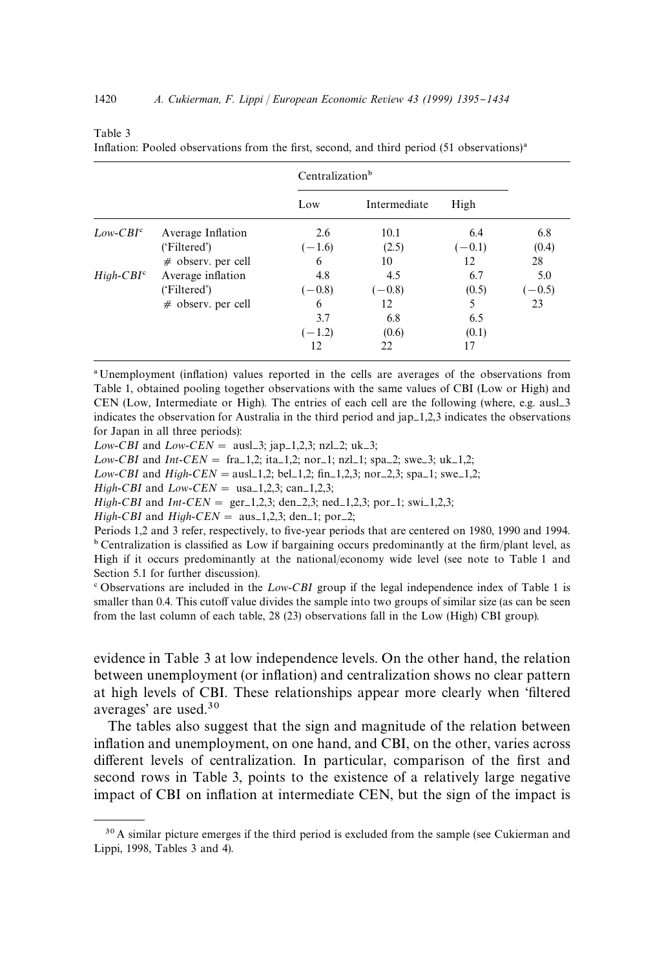|             |                      |          | Centralization <sup>b</sup> |          |          |  |
|-------------|----------------------|----------|-----------------------------|----------|----------|--|
|             |                      | Low      | Intermediate                | High     |          |  |
| $Low-CBIc$  | Average Inflation    | 2.6      | 10.1                        | 6.4      | 6.8      |  |
|             | ('Filtered')         | $(-1.6)$ | (2.5)                       | $(-0.1)$ | (0.4)    |  |
|             | $#$ observ. per cell | 6        | 10                          | 12       | 28       |  |
| $High-CBIc$ | Average inflation    | 4.8      | 4.5                         | 6.7      | 5.0      |  |
|             | ('Filtered')         | $(-0.8)$ | $(-0.8)$                    | (0.5)    | $(-0.5)$ |  |
|             | $#$ observ. per cell | 6        | 12                          | 5        | 23       |  |
|             |                      | 3.7      | 6.8                         | 6.5      |          |  |
|             |                      | $(-1.2)$ | (0.6)                       | (0.1)    |          |  |
|             |                      | 12       | 22                          | 17       |          |  |

Inflation: Pooled observations from the first, second, and third period  $(51$  observations)<sup>a</sup>

<sup>a</sup> Unemployment (inflation) values reported in the cells are averages of the observations from Table 1, obtained pooling together observations with the same values of CBI (Low or High) and CEN (Low, Intermediate or High). The entries of each cell are the following (where, e.g. ausl $-3$ indicates the observation for Australia in the third period and  $\text{ap}=1,2,3$  indicates the observations for Japan in all three periods):

*Low-CBI* and *Low-CEN* = ausl\_3; jap\_1,2,3; nzl\_2; uk\_3;

*Low-CBI* and *Int-CEN* = fra-1,2; ita-1,2; nor-1; nzl-1; spa-2; swe-3; uk-1,2;

*Low-CBI* and *High-CEN* = ausl\_1,2; bel\_1,2;  $\text{fin}_1, 2, 3$ ; nor\_2,3; spa\_1; swe\_1,2;

*High-CBI* and  $Low-CEN =$  usa $-1,2,3$ ; can $-1,2,3$ ;

Table 3

*High-CBI* and *Int-CEN* = ger<sub>-1</sub>,2,3; den<sub>-2</sub>,3; ned<sub>-1</sub>,2,3; por<sub>-1</sub>; swi-1,2,3;

*High-CBI* and *High-CEN* =  $\text{aus}_1$ 1,2,3; den<sub>1</sub>; por<sub>2</sub>;

Periods 1,2 and 3 refer, respectively, to five-year periods that are centered on 1980, 1990 and 1994.  $b$  Centralization is classified as Low if bargaining occurs predominantly at the firm/plant level, as High if it occurs predominantly at the national/economy wide level (see note to Table 1 and Section 5.1 for further discussion).

<sup>e</sup> Observations are included in the *Low-CBI* group if the legal independence index of Table 1 is smaller than 0.4. This cutoff value divides the sample into two groups of similar size (as can be seen from the last column of each table, 28 (23) observations fall in the Low (High) CBI group).

evidence in Table 3 at low independence levels. On the other hand, the relation between unemployment (or inflation) and centralization shows no clear pattern at high levels of CBI. These relationships appear more clearly when 'filtered averages' are used.30

The tables also suggest that the sign and magnitude of the relation between inflation and unemployment, on one hand, and CBI, on the other, varies across different levels of centralization. In particular, comparison of the first and second rows in Table 3, points to the existence of a relatively large negative impact of CBI on inflation at intermediate CEN, but the sign of the impact is

 $30$  A similar picture emerges if the third period is excluded from the sample (see Cukierman and Lippi, 1998, Tables 3 and 4).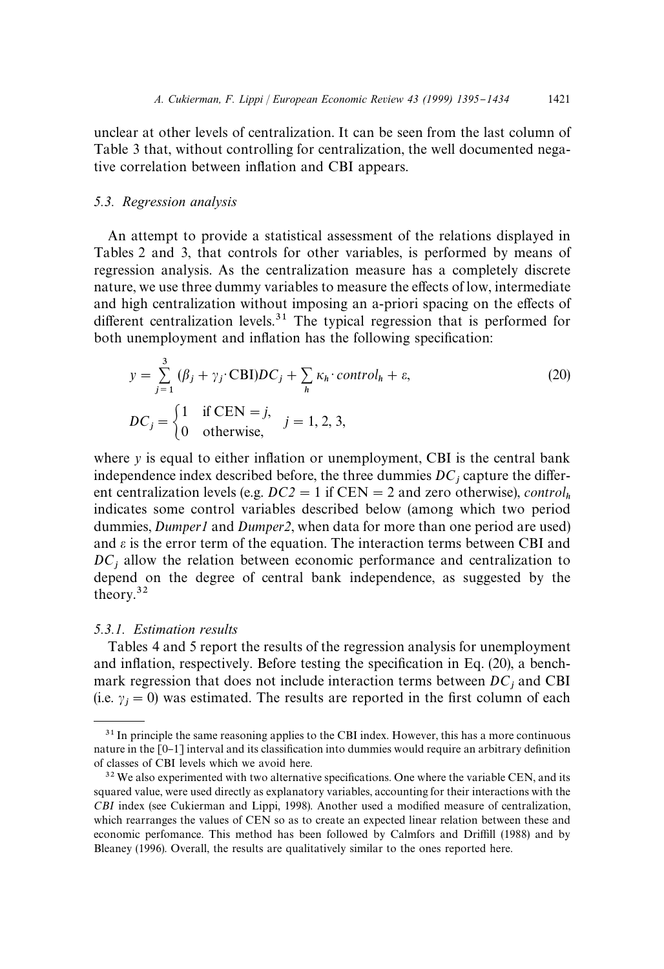unclear at other levels of centralization. It can be seen from the last column of Table 3 that, without controlling for centralization, the well documented negative correlation between inflation and CBI appears.

#### *5.3. Regression analysis*

An attempt to provide a statistical assessment of the relations displayed in Tables 2 and 3, that controls for other variables, is performed by means of regression analysis. As the centralization measure has a completely discrete nature, we use three dummy variables to measure the effects of low, intermediate and high centralization without imposing an a-priori spacing on the effects of different centralization levels.<sup>31</sup> The typical regression that is performed for both unemployment and inflation has the following specification:

$$
y = \sum_{j=1}^{3} (\beta_j + \gamma_j \cdot \text{CBI})DC_j + \sum_{h} \kappa_h \cdot \text{control}_h + \varepsilon,
$$
  
\n
$$
DC_j = \begin{cases} 1 & \text{if } \text{CEN} = j, \\ 0 & \text{otherwise,} \end{cases} j = 1, 2, 3,
$$
\n
$$
(20)
$$

where  $y$  is equal to either inflation or unemployment, CBI is the central bank independence index described before, the three dummies  $DC_j$  capture the different centralization levels (e.g.  $DC2 = 1$  if  $CEN = 2$  and zero otherwise), *control*<sub>h</sub> indicates some control variables described below (among which two period dummies, *Dumper1* and *Dumper2*, when data for more than one period are used) and  $\varepsilon$  is the error term of the equation. The interaction terms between CBI and *DC*j allow the relation between economic performance and centralization to depend on the degree of central bank independence, as suggested by the theory.32

#### *5.3.1. Estimation results*

Tables 4 and 5 report the results of the regression analysis for unemployment and inflation, respectively. Before testing the specification in Eq.  $(20)$ , a benchmark regression that does not include interaction terms between  $DC_j$  and CBI (i.e.  $\gamma_j = 0$ ) was estimated. The results are reported in the first column of each

<sup>&</sup>lt;sup>31</sup> In principle the same reasoning applies to the CBI index. However, this has a more continuous nature in the [0-1] interval and its classification into dummies would require an arbitrary definition of classes of CBI levels which we avoid here.

 $32$  We also experimented with two alternative specifications. One where the variable CEN, and its squared value, were used directly as explanatory variables, accounting for their interactions with the *CBI* index (see Cukierman and Lippi, 1998). Another used a modified measure of centralization, which rearranges the values of CEN so as to create an expected linear relation between these and economic perfomance. This method has been followed by Calmfors and Driffill (1988) and by Bleaney (1996). Overall, the results are qualitatively similar to the ones reported here.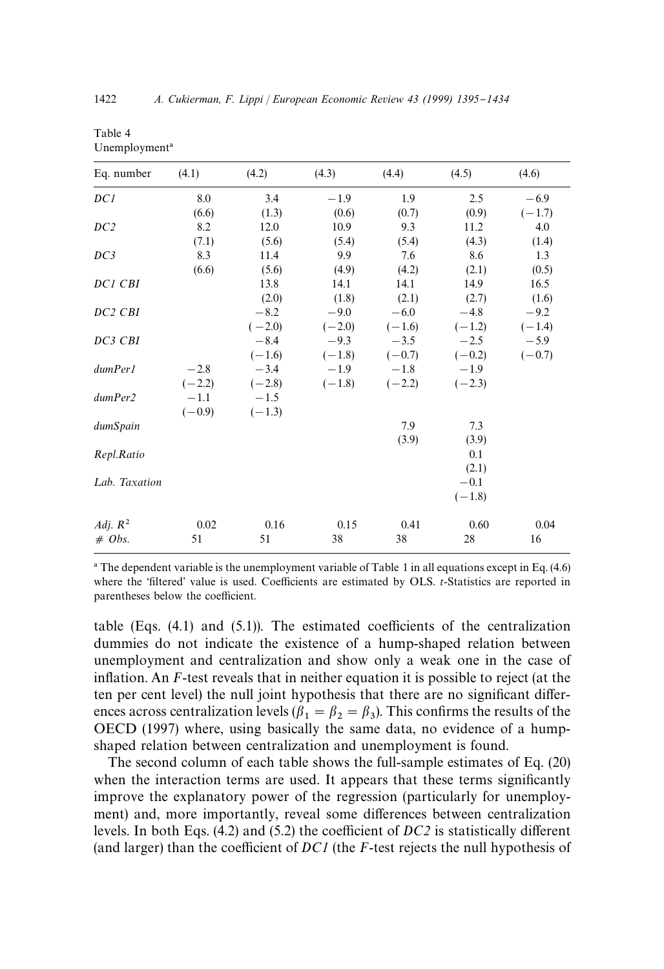| Eq. number      | (4.1)    | (4.2)    | (4.3)    | (4.4)    | (4.5)    | (4.6)    |
|-----------------|----------|----------|----------|----------|----------|----------|
| DC1             | 8.0      | 3.4      | $-1.9$   | 1.9      | 2.5      | $-6.9$   |
|                 | (6.6)    | (1.3)    | (0.6)    | (0.7)    | (0.9)    | $(-1.7)$ |
| DC <sub>2</sub> | 8.2      | 12.0     | 10.9     | 9.3      | 11.2     | 4.0      |
|                 | (7.1)    | (5.6)    | (5.4)    | (5.4)    | (4.3)    | (1.4)    |
| DC3             | 8.3      | 11.4     | 9.9      | 7.6      | 8.6      | 1.3      |
|                 | (6.6)    | (5.6)    | (4.9)    | (4.2)    | (2.1)    | (0.5)    |
| DC1 CBI         |          | 13.8     | 14.1     | 14.1     | 14.9     | 16.5     |
|                 |          | (2.0)    | (1.8)    | (2.1)    | (2.7)    | (1.6)    |
| DC2 CBI         |          | $-8.2$   | $-9.0$   | $-6.0$   | $-4.8$   | $-9.2$   |
|                 |          | $(-2.0)$ | $(-2.0)$ | $(-1.6)$ | $(-1.2)$ | $(-1.4)$ |
| DC3 CBI         |          | $-8.4$   | $-9.3$   | $-3.5$   | $-2.5$   | $-5.9$   |
|                 |          | $(-1.6)$ | $(-1.8)$ | $(-0.7)$ | $(-0.2)$ | $(-0.7)$ |
| dumPer1         | $-2.8$   | $-3.4$   | $-1.9$   | $-1.8$   | $-1.9$   |          |
|                 | $(-2.2)$ | $(-2.8)$ | $(-1.8)$ | $(-2.2)$ | $(-2.3)$ |          |
| dumPer2         | $-1.1$   | $-1.5$   |          |          |          |          |
|                 | $(-0.9)$ | $(-1.3)$ |          |          |          |          |
| dumSpain        |          |          |          | 7.9      | 7.3      |          |
|                 |          |          |          | (3.9)    | (3.9)    |          |
| Repl.Ratio      |          |          |          |          | 0.1      |          |
|                 |          |          |          |          | (2.1)    |          |
| Lab. Taxation   |          |          |          |          | $-0.1$   |          |
|                 |          |          |          |          | $(-1.8)$ |          |
| Adj. $R^2$      | 0.02     | 0.16     | 0.15     | 0.41     | 0.60     | 0.04     |
| $# \; Obs.$     | 51       | 51       | 38       | 38       | 28       | 16       |
|                 |          |          |          |          |          |          |

| Table 4                   |  |
|---------------------------|--|
| Unemployment <sup>a</sup> |  |

! The dependent variable is the unemployment variable of Table 1 in all equations except in Eq. (4.6) where the 'filtered' value is used. Coefficients are estimated by OLS. *t*-Statistics are reported in parentheses below the coefficient.

table (Eqs.  $(4.1)$  and  $(5.1)$ ). The estimated coefficients of the centralization dummies do not indicate the existence of a hump-shaped relation between unemployment and centralization and show only a weak one in the case of inflation. An *F*-test reveals that in neither equation it is possible to reject (at the ten per cent level) the null joint hypothesis that there are no significant differences across centralization levels ( $\beta_1 = \beta_2 = \beta_3$ ). This confirms the results of the Effect across centralization levels ( $p_1 = p_2 = p_3$ ). This commiss the results of the OECD (1997) where, using basically the same data, no evidence of a humpshaped relation between centralization and unemployment is found.

The second column of each table shows the full-sample estimates of Eq. (20) when the interaction terms are used. It appears that these terms significantly improve the explanatory power of the regression (particularly for unemployment) and, more importantly, reveal some differences between centralization levels. In both Eqs.  $(4.2)$  and  $(5.2)$  the coefficient of *DC*<sup>2</sup> is statistically different (and larger) than the coefficient of  $DCI$  (the  $F$ -test rejects the null hypothesis of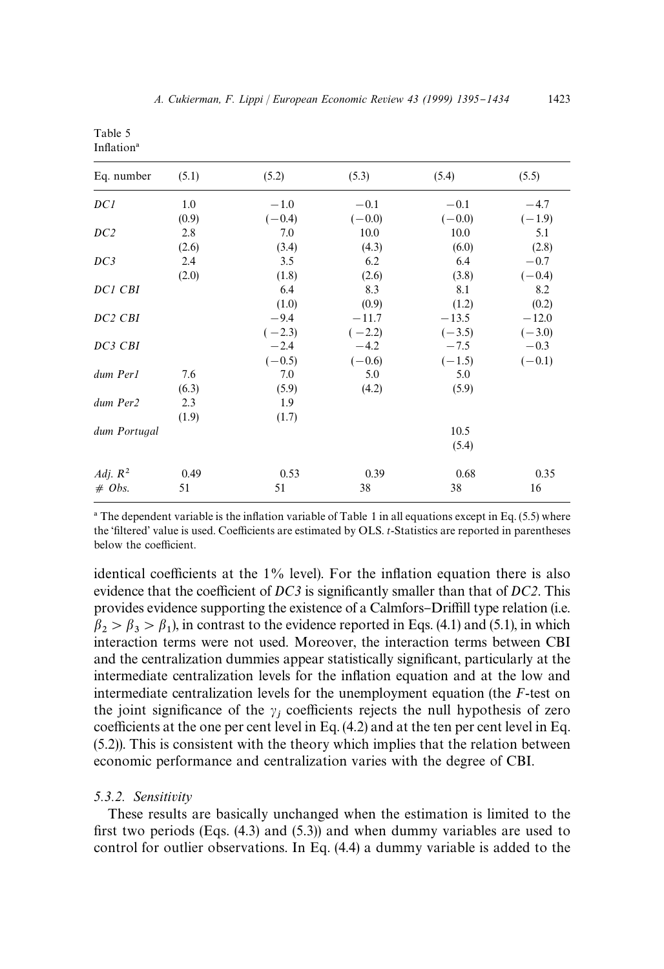| ١<br>∠<br>× |
|-------------|
|             |

| (5.2)    | (5.3)      | (5.4)      | (5.5)      |
|----------|------------|------------|------------|
| $-1.0$   | $-0.1$     | $-0.1$     | $-4.7$     |
| $(-0.4)$ | $(-0.0)$   | $(-0.0)$   | $(-1.9)$   |
| 7.0      | 10.0       | 10.0       | 5.1        |
| (3.4)    | (4.3)      | (6.0)      | (2.8)      |
| 3.5      | 6.2        | 6.4        | $-0.7$     |
| (1.8)    | (2.6)      | (3.8)      | $(-0.4)$   |
| 6.4      | 8.3        | 8.1        | 8.2        |
| (1.0)    | (0.9)      | (1.2)      | (0.2)      |
| $-9.4$   | $-11.7$    | $-13.5$    | $-12.0$    |
| $(-2.3)$ | $(-2.2)$   | $(-3.5)$   | $(-3.0)$   |
| $-2.4$   | $-4.2$     | $-7.5$     | $-0.3$     |
| $(-0.5)$ | $(-0.6)$   | $(-1.5)$   | $(-0.1)$   |
| 7.0      | 5.0        | 5.0        |            |
| (5.9)    | (4.2)      | (5.9)      |            |
| 1.9      |            |            |            |
| (1.7)    |            |            |            |
|          |            | 10.5       |            |
|          |            | (5.4)      |            |
|          |            |            | 0.35       |
|          |            |            | 16         |
|          | 0.53<br>51 | 0.39<br>38 | 0.68<br>38 |

 $^{\circ}$  The dependent variable is the inflation variable of Table 1 in all equations except in Eq. (5.5) where the 'filtered' value is used. Coefficients are estimated by OLS. *t*-Statistics are reported in parentheses below the coefficient.

identical coefficients at the  $1\%$  level). For the inflation equation there is also evidence that the coefficient of *DC3* is significantly smaller than that of *DC2*. This provides evidence supporting the existence of a Calmfors–Driffill type relation (i.e.  $\beta_2 > \beta_3 > \beta_1$ ), in contrast to the evidence reported in Eqs. (4.1) and (5.1), in which interaction terms were not used. Moreover, the interaction terms between CBI and the centralization dummies appear statistically significant, particularly at the intermediate centralization levels for the inflation equation and at the low and intermediate centralization levels for the unemployment equation (the *F*-test on the joint significance of the  $\gamma_j$  coefficients rejects the null hypothesis of zero coefficients at the one per cent level in Eq.  $(4.2)$  and at the ten per cent level in Eq. (5.2)). This is consistent with the theory which implies that the relation between economic performance and centralization varies with the degree of CBI.

# *5.3.2. Sensitivity*

Table 5 Inflation<sup>a</sup>

These results are basically unchanged when the estimation is limited to the first two periods (Eqs.  $(4.3)$  and  $(5.3)$ ) and when dummy variables are used to control for outlier observations. In Eq. (4.4) a dummy variable is added to the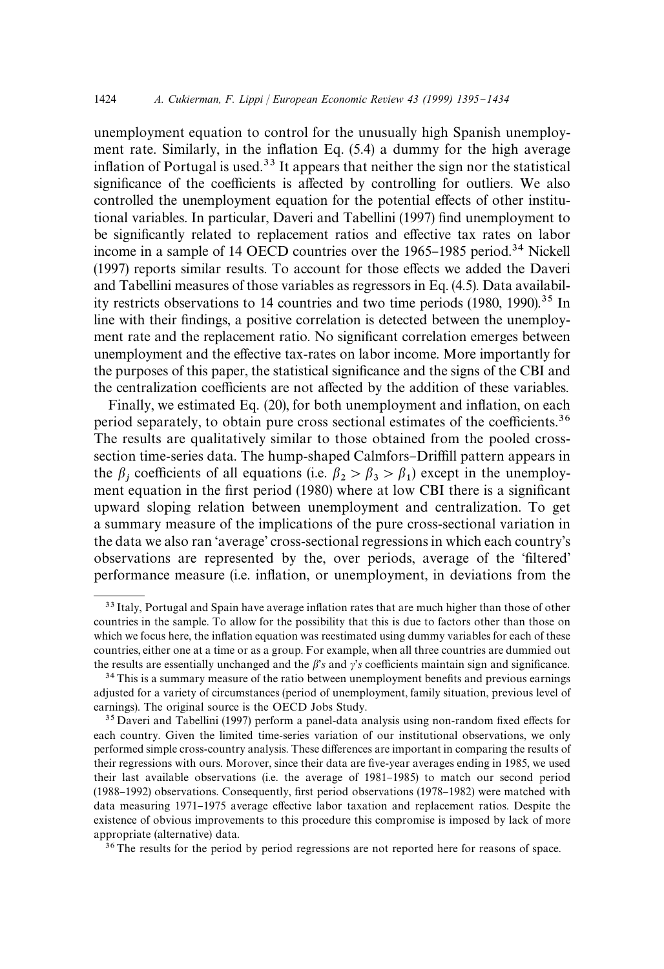unemployment equation to control for the unusually high Spanish unemployment rate. Similarly, in the inflation Eq.  $(5.4)$  a dummy for the high average inflation of Portugal is used.<sup>33</sup> It appears that neither the sign nor the statistical significance of the coefficients is affected by controlling for outliers. We also controlled the unemployment equation for the potential effects of other institutional variables. In particular, Daveri and Tabellini (1997) find unemployment to be significantly related to replacement ratios and effective tax rates on labor income in a sample of 14 OECD countries over the 1965–1985 period.<sup>34</sup> Nickell  $(1997)$  reports similar results. To account for those effects we added the Daveri and Tabellini measures of those variables as regressors in Eq. (4.5). Data availability restricts observations to 14 countries and two time periods (1980, 1990).<sup>35</sup> In line with their findings, a positive correlation is detected between the unemployment rate and the replacement ratio. No significant correlation emerges between unemployment and the effective tax-rates on labor income. More importantly for the purposes of this paper, the statistical significance and the signs of the CBI and the centralization coefficients are not affected by the addition of these variables.

Finally, we estimated Eq. (20), for both unemployment and inflation, on each period separately, to obtain pure cross sectional estimates of the coefficients.<sup>36</sup> The results are qualitatively similar to those obtained from the pooled crosssection time-series data. The hump-shaped Calmfors–Driffill pattern appears in the  $\beta_j$  coefficients of all equations (i.e.  $\beta_2 > \beta_3 > \beta_1$ ) except in the unemploythe  $p_j$  coefficients of an equations (i.e.  $p_2 > p_3 > p_1$ ) except in the different equation in the first period (1980) where at low CBI there is a significant upward sloping relation between unemployment and centralization. To get a summary measure of the implications of the pure cross-sectional variation in the data we also ran 'average' cross-sectional regressions in which each country's observations are represented by the, over periods, average of the 'filtered' performance measure (i.e. in#ation, or unemployment, in deviations from the

<sup>36</sup>The results for the period by period regressions are not reported here for reasons of space.

<sup>&</sup>lt;sup>33</sup> Italy, Portugal and Spain have average inflation rates that are much higher than those of other countries in the sample. To allow for the possibility that this is due to factors other than those on which we focus here, the inflation equation was reestimated using dummy variables for each of these countries, either one at a time or as a group. For example, when all three countries are dummied out the results are essentially unchanged and the  $\beta$ 's and  $\gamma$ 's coefficients maintain sign and significance.

<sup>&</sup>lt;sup>34</sup>This is a summary measure of the ratio between unemployment benefits and previous earnings adjusted for a variety of circumstances (period of unemployment, family situation, previous level of earnings). The original source is the OECD Jobs Study.

 $35$  Daveri and Tabellini (1997) perform a panel-data analysis using non-random fixed effects for each country. Given the limited time-series variation of our institutional observations, we only performed simple cross-country analysis. These differences are important in comparing the results of their regressions with ours. Morover, since their data are five-year averages ending in 1985, we used their last available observations (i.e. the average of 1981–1985) to match our second period (1988-1992) observations. Consequently, first period observations (1978-1982) were matched with data measuring 1971-1975 average effective labor taxation and replacement ratios. Despite the existence of obvious improvements to this procedure this compromise is imposed by lack of more appropriate (alternative) data.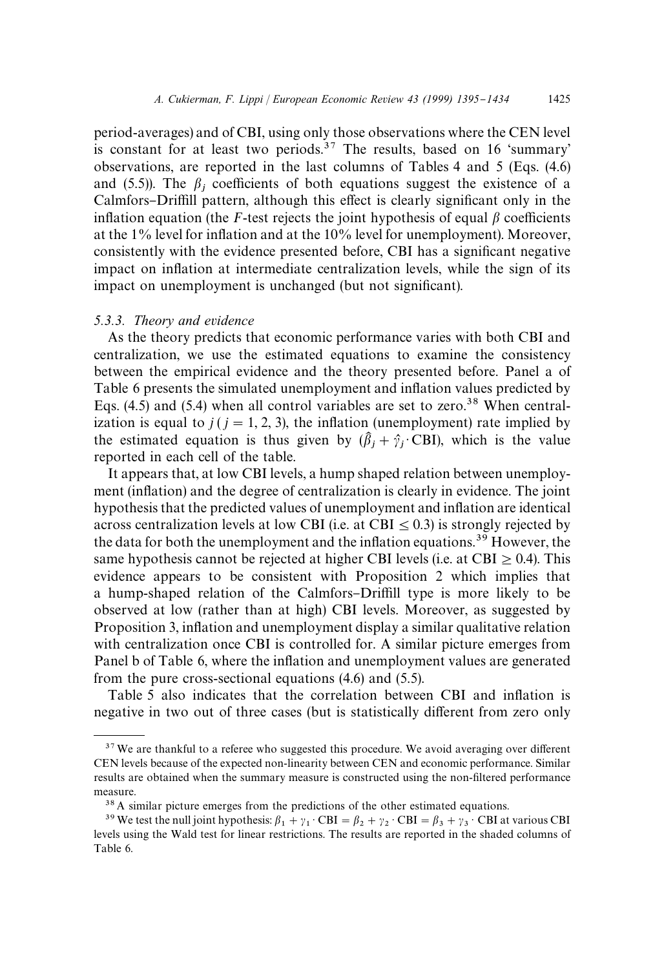period-averages) and of CBI, using only those observations where the CEN level is constant for at least two periods.<sup>37</sup> The results, based on 16 'summary' observations, are reported in the last columns of Tables 4 and 5 (Eqs. (4.6) and (5.5)). The  $\beta_j$  coefficients of both equations suggest the existence of a Calmfors–Driffill pattern, although this effect is clearly significant only in the inflation equation (the *F*-test rejects the joint hypothesis of equal  $\beta$  coefficients at the 1% level for in#ation and at the 10% level for unemployment). Moreover, consistently with the evidence presented before, CBI has a significant negative impact on inflation at intermediate centralization levels, while the sign of its impact on unemployment is unchanged (but not significant).

#### *5.3.3. Theory and evidence*

As the theory predicts that economic performance varies with both CBI and centralization, we use the estimated equations to examine the consistency between the empirical evidence and the theory presented before. Panel a of Table 6 presents the simulated unemployment and inflation values predicted by Eqs.  $(4.5)$  and  $(5.4)$  when all control variables are set to zero.<sup>38</sup> When centralization is equal to  $j$  ( $j = 1, 2, 3$ ), the inflation (unemployment) rate implied by the estimated equation is thus given by  $(\hat{\beta}_j + \hat{\gamma}_j \cdot \text{CBI})$ , which is the value reported in each cell of the table.

It appears that, at low CBI levels, a hump shaped relation between unemployment (in#ation) and the degree of centralization is clearly in evidence. The joint hypothesis that the predicted values of unemployment and inflation are identical across centralization levels at low CBI (i.e. at CBI  $\leq$  0.3) is strongly rejected by the data for both the unemployment and the inflation equations.<sup>39</sup> However, the same hypothesis cannot be rejected at higher CBI levels (i.e. at CBI  $\geq$  0.4). This evidence appears to be consistent with Proposition 2 which implies that a hump-shaped relation of the Calmfors-Driffill type is more likely to be observed at low (rather than at high) CBI levels. Moreover, as suggested by Proposition 3, inflation and unemployment display a similar qualitative relation with centralization once CBI is controlled for. A similar picture emerges from Panel b of Table 6, where the inflation and unemployment values are generated from the pure cross-sectional equations (4.6) and (5.5).

Table 5 also indicates that the correlation between CBI and inflation is negative in two out of three cases (but is statistically different from zero only

 $37$  We are thankful to a referee who suggested this procedure. We avoid averaging over different CEN levels because of the expected non-linearity between CEN and economic performance. Similar results are obtained when the summary measure is constructed using the non-filtered performance measure.

<sup>&</sup>lt;sup>38</sup> A similar picture emerges from the predictions of the other estimated equations.

<sup>&</sup>lt;sup>39</sup> We test the null joint hypothesis:  $\beta_1 + \gamma_1 \cdot \text{CBI} = \beta_2 + \gamma_2 \cdot \text{CBI} = \beta_3 + \gamma_3 \cdot \text{CBI}$  at various CBI levels using the Wald test for linear restrictions. The results are reported in the shaded columns of Table 6.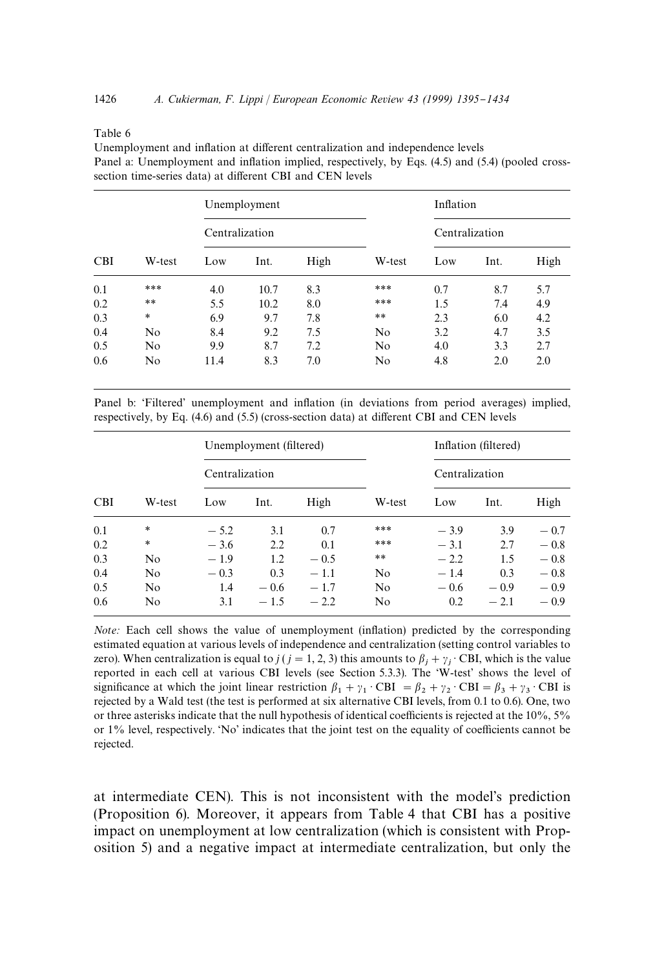#### Table 6

Unemployment and inflation at different centralization and independence levels Panel a: Unemployment and inflation implied, respectively, by Eqs. (4.5) and (5.4) (pooled crosssection time-series data) at different CBI and CEN levels

|            |                |                | Unemployment |      |                | Inflation      |      |      |
|------------|----------------|----------------|--------------|------|----------------|----------------|------|------|
|            |                | Centralization |              |      |                | Centralization |      |      |
| <b>CBI</b> | W-test         | Low            | Int.         | High | W-test         | Low            | Int. | High |
| 0.1        | ***            | 4.0            | 10.7         | 8.3  | ***            | 0.7            | 8.7  | 5.7  |
| 0.2        | $\ast\ast$     | 5.5            | 10.2         | 8.0  | ***            | 1.5            | 7.4  | 4.9  |
| 0.3        | $\ast$         | 6.9            | 9.7          | 7.8  | $\ast\ast$     | 2.3            | 6.0  | 4.2  |
| 0.4        | N <sub>o</sub> | 8.4            | 9.2          | 7.5  | N <sub>o</sub> | 3.2            | 4.7  | 3.5  |
| 0.5        | N <sub>o</sub> | 9.9            | 8.7          | 7.2  | N <sub>o</sub> | 4.0            | 3.3  | 2.7  |
| 0.6        | N <sub>o</sub> | 11.4           | 8.3          | 7.0  | N <sub>o</sub> | 4.8            | 2.0  | 2.0  |

Panel b: 'Filtered' unemployment and inflation (in deviations from period averages) implied, respectively, by Eq.  $(4.6)$  and  $(5.5)$  (cross-section data) at different CBI and CEN levels

|            |        |        | Unemployment (filtered) |        |                | Inflation (filtered) |        |        |
|------------|--------|--------|-------------------------|--------|----------------|----------------------|--------|--------|
|            |        |        | Centralization          |        |                | Centralization       |        |        |
| <b>CBI</b> | W-test | Low    | Int.                    | High   | W-test         | Low                  | Int.   | High   |
| 0.1        | *      | $-5.2$ | 3.1                     | 0.7    | ***            | $-3.9$               | 3.9    | $-0.7$ |
| 0.2        | *      | $-3.6$ | 2.2                     | 0.1    | ***            | $-3.1$               | 2.7    | $-0.8$ |
| 0.3        | No     | $-1.9$ | 1.2                     | $-0.5$ | $* *$          | $-2.2$               | 1.5    | $-0.8$ |
| 0.4        | No     | $-0.3$ | 0.3                     | $-1.1$ | No             | $-1.4$               | 0.3    | $-0.8$ |
| 0.5        | No     | 1.4    | $-0.6$                  | $-1.7$ | N <sub>o</sub> | $-0.6$               | $-0.9$ | $-0.9$ |
| 0.6        | No     | 3.1    | $-1.5$                  | $-2.2$ | No             | 0.2                  | $-2.1$ | $-0.9$ |

*Note*: Each cell shows the value of unemployment (inflation) predicted by the corresponding estimated equation at various levels of independence and centralization (setting control variables to zero). When centralization is equal to *j* (*j* = 1, 2, 3) this amounts to  $\beta_j + \gamma_j \cdot \text{CBI}$ , which is the value reported in each cell at various CBI levels (see Section 5.3.3). The 'W-test' shows the level of significance at which the joint linear restriction  $\beta_1 + \gamma_1 \cdot \text{CBI} = \beta_2 + \gamma_2 \cdot \text{CBI} = \beta_3 + \gamma_3 \cdot \text{CBI}$  is rejected by a Wald test (the test is performed at six alternative CBI levels, from 0.1 to 0.6). One, two or three asterisks indicate that the null hypothesis of identical coefficients is rejected at the  $10\%$ ,  $5\%$ or  $1\%$  level, respectively. 'No' indicates that the joint test on the equality of coefficients cannot be rejected.

at intermediate CEN). This is not inconsistent with the model's prediction (Proposition 6). Moreover, it appears from Table 4 that CBI has a positive impact on unemployment at low centralization (which is consistent with Proposition 5) and a negative impact at intermediate centralization, but only the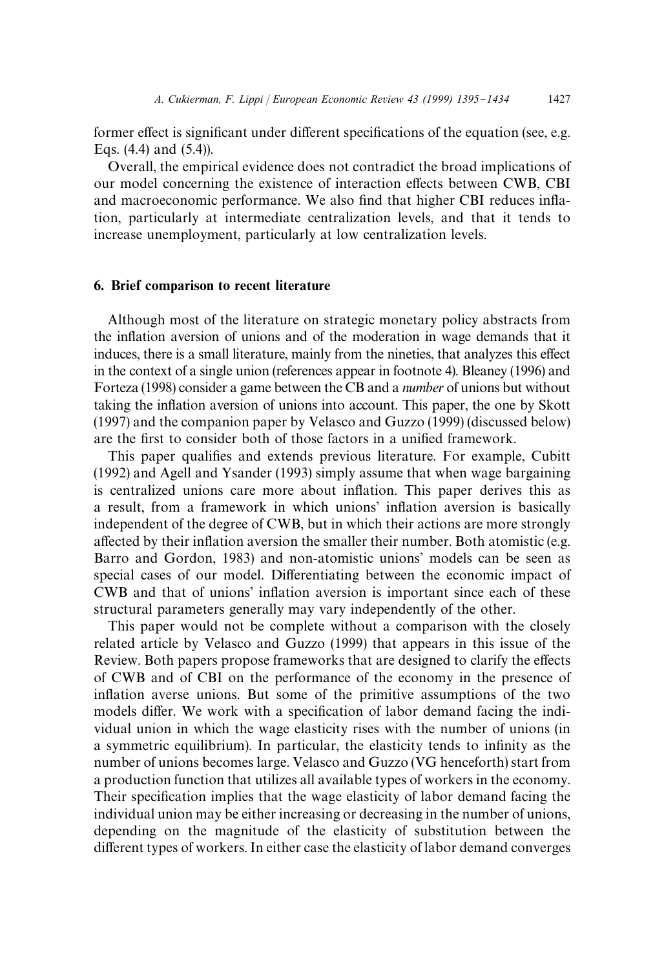former effect is significant under different specifications of the equation (see, e.g. Eqs. (4.4) and (5.4)).

Overall, the empirical evidence does not contradict the broad implications of our model concerning the existence of interaction effects between CWB, CBI and macroeconomic performance. We also find that higher CBI reduces inflation, particularly at intermediate centralization levels, and that it tends to increase unemployment, particularly at low centralization levels.

## 6. Brief comparison to recent literature

Although most of the literature on strategic monetary policy abstracts from the inflation aversion of unions and of the moderation in wage demands that it induces, there is a small literature, mainly from the nineties, that analyzes this effect in the context of a single union (references appear in footnote 4). Bleaney (1996) and Forteza (1998) consider a game between the CB and a *number* of unions but without taking the inflation aversion of unions into account. This paper, the one by Skott (1997) and the companion paper by Velasco and Guzzo (1999) (discussed below) are the first to consider both of those factors in a unified framework.

This paper qualifies and extends previous literature. For example, Cubitt (1992) and Agell and Ysander (1993) simply assume that when wage bargaining is centralized unions care more about inflation. This paper derives this as a result, from a framework in which unions' inflation aversion is basically independent of the degree of CWB, but in which their actions are more strongly affected by their inflation aversion the smaller their number. Both atomistic (e.g. Barro and Gordon, 1983) and non-atomistic unions' models can be seen as special cases of our model. Differentiating between the economic impact of CWB and that of unions' inflation aversion is important since each of these structural parameters generally may vary independently of the other.

This paper would not be complete without a comparison with the closely related article by Velasco and Guzzo (1999) that appears in this issue of the Review. Both papers propose frameworks that are designed to clarify the effects of CWB and of CBI on the performance of the economy in the presence of inflation averse unions. But some of the primitive assumptions of the two models differ. We work with a specification of labor demand facing the individual union in which the wage elasticity rises with the number of unions (in a symmetric equilibrium). In particular, the elasticity tends to infinity as the number of unions becomes large. Velasco and Guzzo (VG henceforth) start from a production function that utilizes all available types of workers in the economy. Their specification implies that the wage elasticity of labor demand facing the individual union may be either increasing or decreasing in the number of unions, depending on the magnitude of the elasticity of substitution between the different types of workers. In either case the elasticity of labor demand converges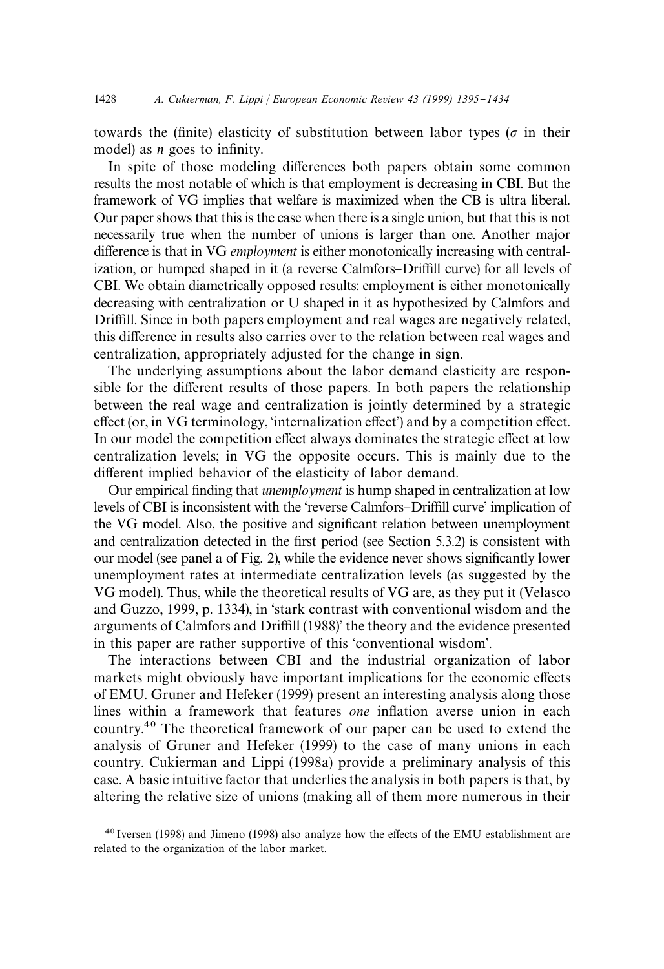towards the (finite) elasticity of substitution between labor types ( $\sigma$  in their model) as *n* goes to infinity.

In spite of those modeling differences both papers obtain some common results the most notable of which is that employment is decreasing in CBI. But the framework of VG implies that welfare is maximized when the CB is ultra liberal. Our paper shows that this is the case when there is a single union, but that this is not necessarily true when the number of unions is larger than one. Another major difference is that in VG *employment* is either monotonically increasing with centralization, or humped shaped in it (a reverse Calmfors–Driffill curve) for all levels of CBI. We obtain diametrically opposed results: employment is either monotonically decreasing with centralization or U shaped in it as hypothesized by Calmfors and Driffill. Since in both papers employment and real wages are negatively related, this difference in results also carries over to the relation between real wages and centralization, appropriately adjusted for the change in sign.

The underlying assumptions about the labor demand elasticity are responsible for the different results of those papers. In both papers the relationship between the real wage and centralization is jointly determined by a strategic effect (or, in VG terminology, 'internalization effect') and by a competition effect. In our model the competition effect always dominates the strategic effect at low centralization levels; in VG the opposite occurs. This is mainly due to the different implied behavior of the elasticity of labor demand.

Our empirical finding that *unemployment* is hump shaped in centralization at low levels of CBI is inconsistent with the 'reverse Calmfors-Driffill curve' implication of the VG model. Also, the positive and significant relation between unemployment and centralization detected in the first period (see Section 5.3.2) is consistent with our model (see panel a of Fig. 2), while the evidence never shows significantly lower unemployment rates at intermediate centralization levels (as suggested by the VG model). Thus, while the theoretical results of VG are, as they put it (Velasco and Guzzo, 1999, p. 1334), in 'stark contrast with conventional wisdom and the arguments of Calmfors and Driffill (1988)' the theory and the evidence presented in this paper are rather supportive of this 'conventional wisdom'.

The interactions between CBI and the industrial organization of labor markets might obviously have important implications for the economic effects of EMU. Gruner and Hefeker (1999) present an interesting analysis along those lines within a framework that features *one* inflation averse union in each country.40 The theoretical framework of our paper can be used to extend the analysis of Gruner and Hefeker (1999) to the case of many unions in each country. Cukierman and Lippi (1998a) provide a preliminary analysis of this case. A basic intuitive factor that underlies the analysis in both papers is that, by altering the relative size of unions (making all of them more numerous in their

 $40$  Iversen (1998) and Jimeno (1998) also analyze how the effects of the EMU establishment are related to the organization of the labor market.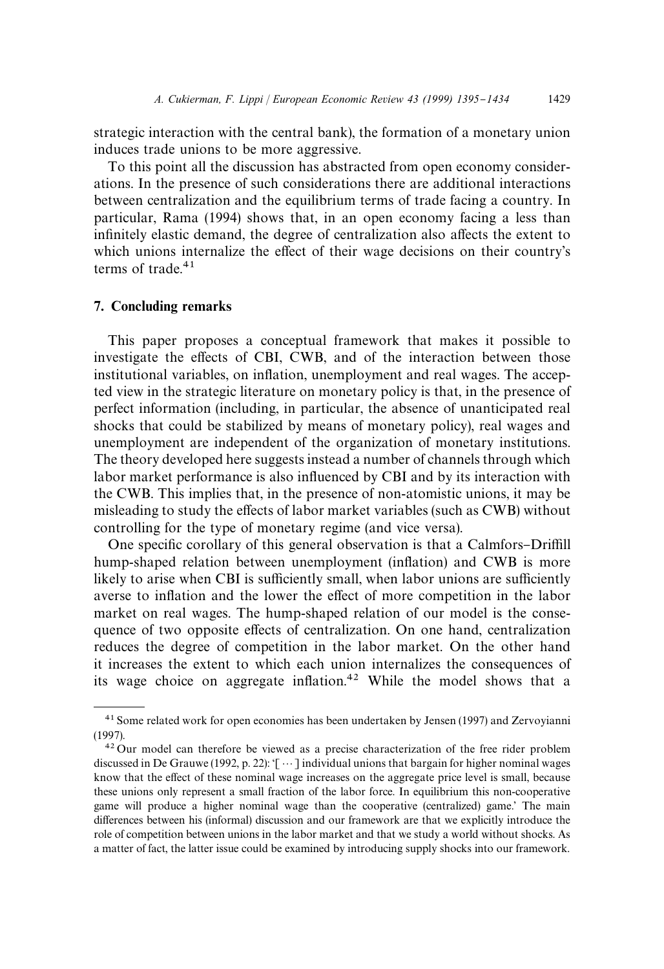strategic interaction with the central bank), the formation of a monetary union induces trade unions to be more aggressive.

To this point all the discussion has abstracted from open economy considerations. In the presence of such considerations there are additional interactions between centralization and the equilibrium terms of trade facing a country. In particular, Rama (1994) shows that, in an open economy facing a less than infinitely elastic demand, the degree of centralization also affects the extent to which unions internalize the effect of their wage decisions on their country's terms of trade $41$ 

#### 7. Concluding remarks

This paper proposes a conceptual framework that makes it possible to investigate the effects of CBI, CWB, and of the interaction between those institutional variables, on inflation, unemployment and real wages. The accepted view in the strategic literature on monetary policy is that, in the presence of perfect information (including, in particular, the absence of unanticipated real shocks that could be stabilized by means of monetary policy), real wages and unemployment are independent of the organization of monetary institutions. The theory developed here suggests instead a number of channels through which labor market performance is also influenced by CBI and by its interaction with the CWB. This implies that, in the presence of non-atomistic unions, it may be misleading to study the effects of labor market variables (such as CWB) without controlling for the type of monetary regime (and vice versa).

One specific corollary of this general observation is that a Calmfors–Driffill hump-shaped relation between unemployment (inflation) and CWB is more likely to arise when CBI is sufficiently small, when labor unions are sufficiently averse to inflation and the lower the effect of more competition in the labor market on real wages. The hump-shaped relation of our model is the consequence of two opposite effects of centralization. On one hand, centralization reduces the degree of competition in the labor market. On the other hand it increases the extent to which each union internalizes the consequences of its wage choice on aggregate inflation.<sup>42</sup> While the model shows that a

<sup>&</sup>lt;sup>41</sup> Some related work for open economies has been undertaken by Jensen (1997) and Zervoyianni (1997).

<sup>42</sup> Our model can therefore be viewed as a precise characterization of the free rider problem discussed in De Grauwe (1992, p. 22): '[ $\cdots$ ] individual unions that bargain for higher nominal wages know that the effect of these nominal wage increases on the aggregate price level is small, because these unions only represent a small fraction of the labor force. In equilibrium this non-cooperative game will produce a higher nominal wage than the cooperative (centralized) game.' The main differences between his (informal) discussion and our framework are that we explicitly introduce the role of competition between unions in the labor market and that we study a world without shocks. As a matter of fact, the latter issue could be examined by introducing supply shocks into our framework.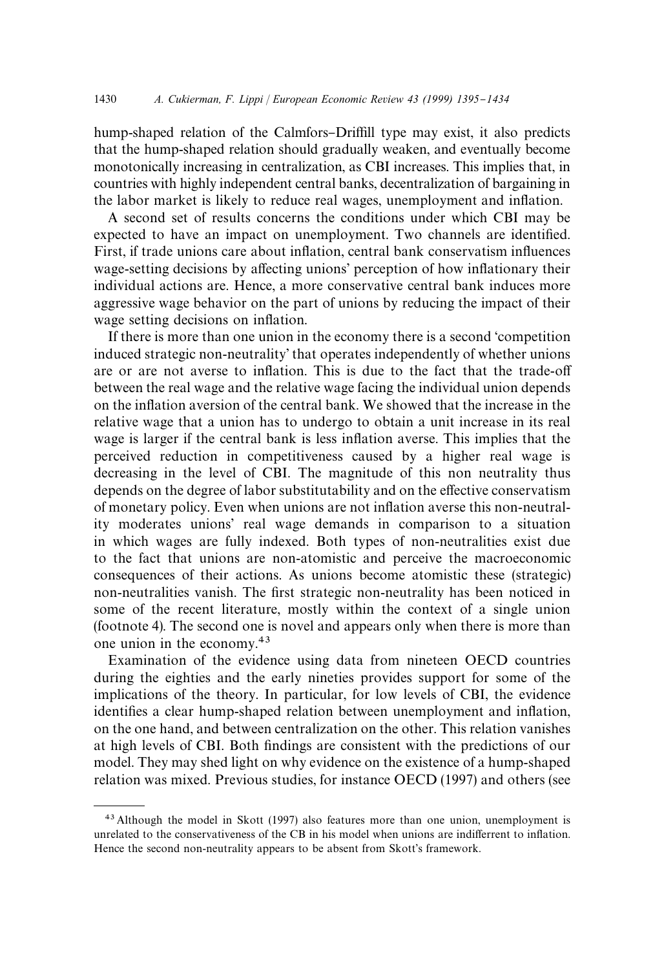hump-shaped relation of the Calmfors–Driffill type may exist, it also predicts that the hump-shaped relation should gradually weaken, and eventually become monotonically increasing in centralization, as CBI increases. This implies that, in countries with highly independent central banks, decentralization of bargaining in the labor market is likely to reduce real wages, unemployment and inflation.

A second set of results concerns the conditions under which CBI may be expected to have an impact on unemployment. Two channels are identified. First, if trade unions care about inflation, central bank conservatism influences wage-setting decisions by affecting unions' perception of how inflationary their individual actions are. Hence, a more conservative central bank induces more aggressive wage behavior on the part of unions by reducing the impact of their wage setting decisions on inflation.

If there is more than one union in the economy there is a second 'competition induced strategic non-neutrality' that operates independently of whether unions are or are not averse to inflation. This is due to the fact that the trade-off between the real wage and the relative wage facing the individual union depends on the inflation aversion of the central bank. We showed that the increase in the relative wage that a union has to undergo to obtain a unit increase in its real wage is larger if the central bank is less inflation averse. This implies that the perceived reduction in competitiveness caused by a higher real wage is decreasing in the level of CBI. The magnitude of this non neutrality thus depends on the degree of labor substitutability and on the effective conservatism of monetary policy. Even when unions are not in#ation averse this non-neutrality moderates unions' real wage demands in comparison to a situation in which wages are fully indexed. Both types of non-neutralities exist due to the fact that unions are non-atomistic and perceive the macroeconomic consequences of their actions. As unions become atomistic these (strategic) non-neutralities vanish. The first strategic non-neutrality has been noticed in some of the recent literature, mostly within the context of a single union (footnote 4). The second one is novel and appears only when there is more than one union in the economy.43

Examination of the evidence using data from nineteen OECD countries during the eighties and the early nineties provides support for some of the implications of the theory. In particular, for low levels of CBI, the evidence identifies a clear hump-shaped relation between unemployment and inflation, on the one hand, and between centralization on the other. This relation vanishes at high levels of CBI. Both findings are consistent with the predictions of our model. They may shed light on why evidence on the existence of a hump-shaped relation was mixed. Previous studies, for instance OECD (1997) and others (see

<sup>43</sup> Although the model in Skott (1997) also features more than one union, unemployment is unrelated to the conservativeness of the CB in his model when unions are indifferrent to inflation. Hence the second non-neutrality appears to be absent from Skott's framework.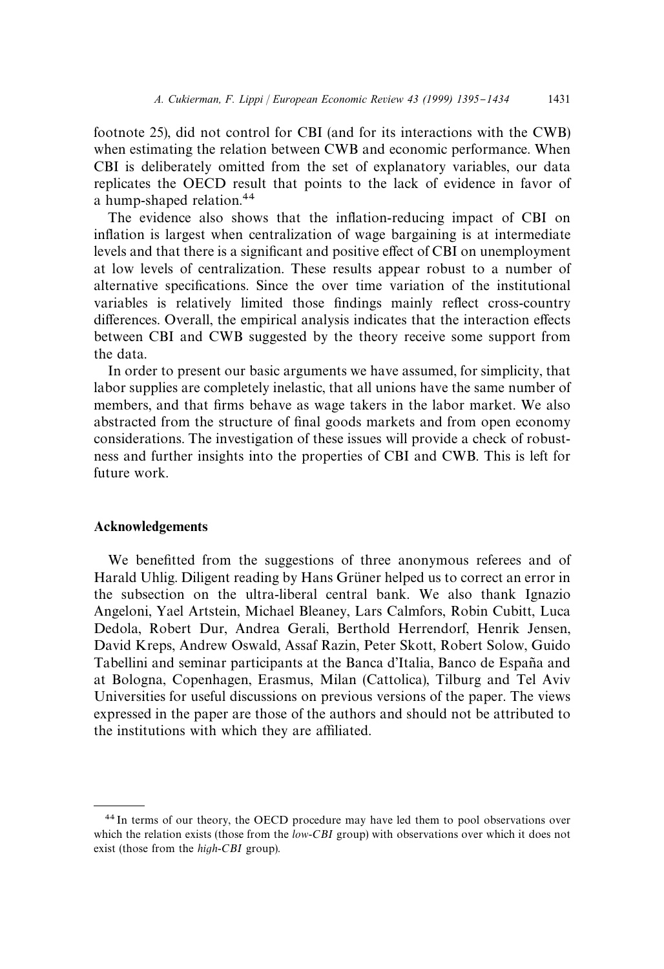footnote 25), did not control for CBI (and for its interactions with the CWB) when estimating the relation between CWB and economic performance. When CBI is deliberately omitted from the set of explanatory variables, our data replicates the OECD result that points to the lack of evidence in favor of a hump-shaped relation.<sup>44</sup>

The evidence also shows that the inflation-reducing impact of CBI on inflation is largest when centralization of wage bargaining is at intermediate levels and that there is a significant and positive effect of CBI on unemployment at low levels of centralization. These results appear robust to a number of alternative specifications. Since the over time variation of the institutional variables is relatively limited those findings mainly reflect cross-country differences. Overall, the empirical analysis indicates that the interaction effects between CBI and CWB suggested by the theory receive some support from the data.

In order to present our basic arguments we have assumed, for simplicity, that labor supplies are completely inelastic, that all unions have the same number of members, and that firms behave as wage takers in the labor market. We also abstracted from the structure of final goods markets and from open economy considerations. The investigation of these issues will provide a check of robustness and further insights into the properties of CBI and CWB. This is left for future work.

#### Acknowledgements

We benefitted from the suggestions of three anonymous referees and of Harald Uhlig. Diligent reading by Hans Grüner helped us to correct an error in the subsection on the ultra-liberal central bank. We also thank Ignazio Angeloni, Yael Artstein, Michael Bleaney, Lars Calmfors, Robin Cubitt, Luca Dedola, Robert Dur, Andrea Gerali, Berthold Herrendorf, Henrik Jensen, David Kreps, Andrew Oswald, Assaf Razin, Peter Skott, Robert Solow, Guido Tabellini and seminar participants at the Banca d'Italia, Banco de España and at Bologna, Copenhagen, Erasmus, Milan (Cattolica), Tilburg and Tel Aviv Universities for useful discussions on previous versions of the paper. The views expressed in the paper are those of the authors and should not be attributed to the institutions with which they are affiliated.

<sup>44</sup> In terms of our theory, the OECD procedure may have led them to pool observations over which the relation exists (those from the *low*-*CBI* group) with observations over which it does not exist (those from the *high*-*CBI* group).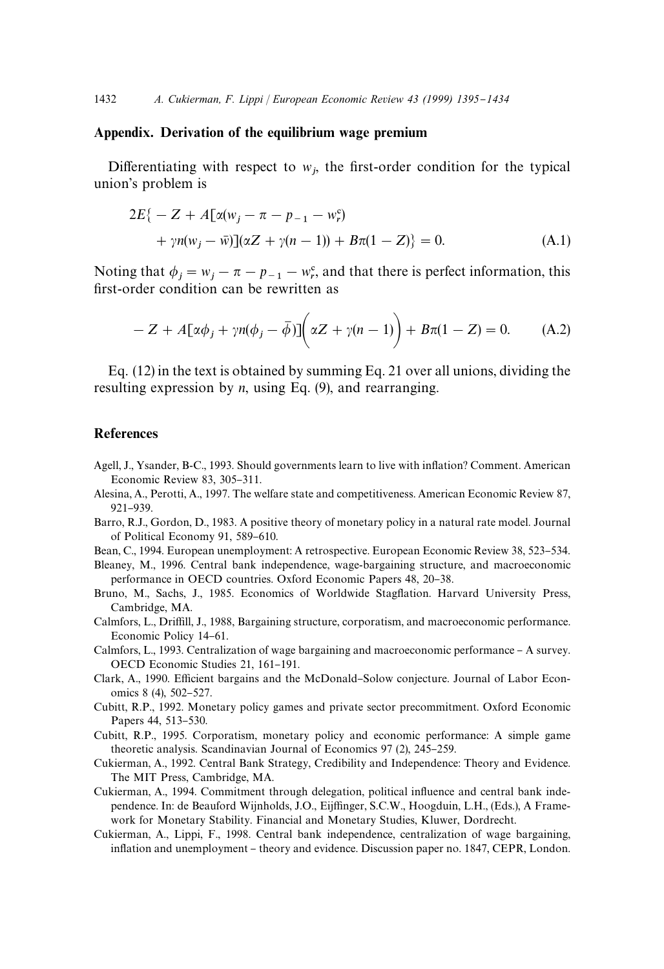## Appendix. Derivation of the equilibrium wage premium

Differentiating with respect to  $w_j$ , the first-order condition for the typical union's problem is

$$
2E\{-Z + A[\alpha(w_j - \pi - p_{-1} - w_r^c) + \gamma n(w_j - \bar{w})](\alpha Z + \gamma(n-1)) + B\pi(1 - Z)\} = 0.
$$
\n(A.1)

Noting that  $\phi_j = w_j - \pi - p_{-1} - w_r^{\rm c}$ , and that there is perfect information, this first-order condition can be rewritten as

$$
-Z + A[\alpha\phi_j + \gamma n(\phi_j - \bar{\phi})] \bigg( \alpha Z + \gamma(n-1) \bigg) + B\pi(1 - Z) = 0. \tag{A.2}
$$

Eq. (12) in the text is obtained by summing Eq. 21 over all unions, dividing the resulting expression by *n*, using Eq. (9), and rearranging.

# **References**

- Agell, J., Ysander, B-C., 1993. Should governments learn to live with inflation? Comment. American Economic Review 83,  $305-311$ .
- Alesina, A., Perotti, A., 1997. The welfare state and competitiveness. American Economic Review 87, 921-939.
- Barro, R.J., Gordon, D., 1983. A positive theory of monetary policy in a natural rate model. Journal of Political Economy 91, 589-610.
- Bean, C., 1994. European unemployment: A retrospective. European Economic Review 38, 523–534.
- Bleaney, M., 1996. Central bank independence, wage-bargaining structure, and macroeconomic performance in OECD countries. Oxford Economic Papers 48, 20-38.
- Bruno, M., Sachs, J., 1985. Economics of Worldwide Stagflation. Harvard University Press, Cambridge, MA.
- Calmfors, L., Driffill, J., 1988, Bargaining structure, corporatism, and macroeconomic performance. Economic Policy 14-61.
- Calmfors, L., 1993. Centralization of wage bargaining and macroeconomic performance A survey. OECD Economic Studies 21, 161-191.
- Clark, A., 1990. Efficient bargains and the McDonald-Solow conjecture. Journal of Labor Economics 8 (4), 502-527.
- Cubitt, R.P., 1992. Monetary policy games and private sector precommitment. Oxford Economic Papers 44, 513-530.
- Cubitt, R.P., 1995. Corporatism, monetary policy and economic performance: A simple game theoretic analysis. Scandinavian Journal of Economics 97 (2), 245–259.
- Cukierman, A., 1992. Central Bank Strategy, Credibility and Independence: Theory and Evidence. The MIT Press, Cambridge, MA.
- Cukierman, A., 1994. Commitment through delegation, political influence and central bank independence. In: de Beauford Wijnholds, J.O., Eijffinger, S.C.W., Hoogduin, L.H., (Eds.), A Framework for Monetary Stability. Financial and Monetary Studies, Kluwer, Dordrecht.
- Cukierman, A., Lippi, F., 1998. Central bank independence, centralization of wage bargaining, inflation and unemployment - theory and evidence. Discussion paper no. 1847, CEPR, London.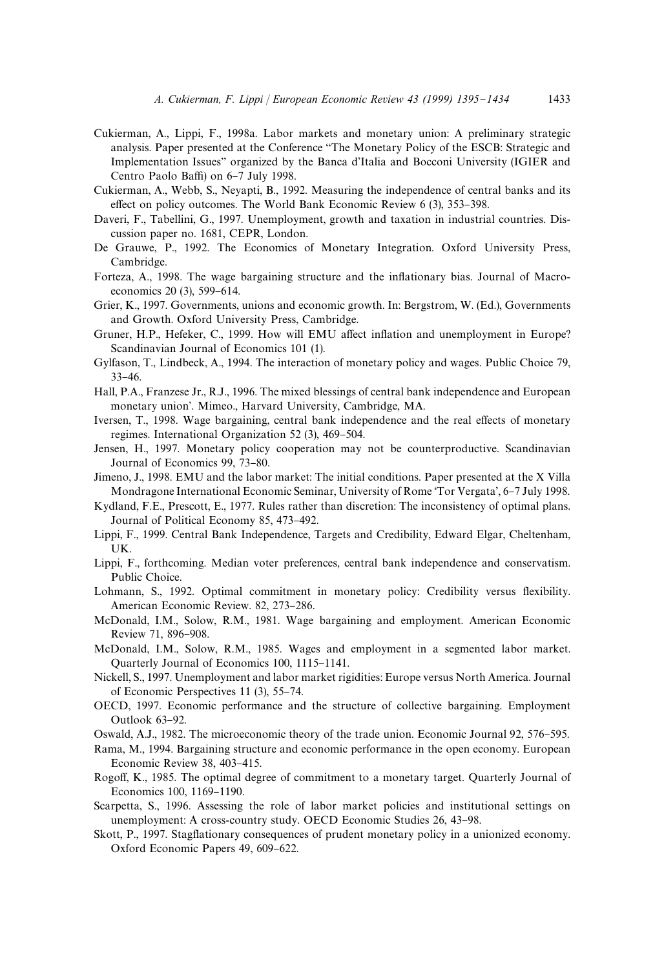- Cukierman, A., Lippi, F., 1998a. Labor markets and monetary union: A preliminary strategic analysis. Paper presented at the Conference `The Monetary Policy of the ESCB: Strategic and Implementation Issues" organized by the Banca d'Italia and Bocconi University (IGIER and Centro Paolo Baffi) on 6-7 July 1998.
- Cukierman, A., Webb, S., Neyapti, B., 1992. Measuring the independence of central banks and its effect on policy outcomes. The World Bank Economic Review  $6$  (3), 353-398.
- Daveri, F., Tabellini, G., 1997. Unemployment, growth and taxation in industrial countries. Discussion paper no. 1681, CEPR, London.
- De Grauwe, P., 1992. The Economics of Monetary Integration. Oxford University Press, Cambridge.
- Forteza, A., 1998. The wage bargaining structure and the inflationary bias. Journal of Macroeconomics 20 (3), 599-614.
- Grier, K., 1997. Governments, unions and economic growth. In: Bergstrom, W. (Ed.), Governments and Growth. Oxford University Press, Cambridge.
- Gruner, H.P., Hefeker, C., 1999. How will EMU affect inflation and unemployment in Europe? Scandinavian Journal of Economics 101 (1).
- Gylfason, T., Lindbeck, A., 1994. The interaction of monetary policy and wages. Public Choice 79,  $33 - 46.$
- Hall, P.A., Franzese Jr., R.J., 1996. The mixed blessings of central bank independence and European monetary union'. Mimeo., Harvard University, Cambridge, MA.
- Iversen, T., 1998. Wage bargaining, central bank independence and the real effects of monetary regimes. International Organization  $52$  (3), 469–504.
- Jensen, H., 1997. Monetary policy cooperation may not be counterproductive. Scandinavian Journal of Economics 99, 73-80.
- Jimeno, J., 1998. EMU and the labor market: The initial conditions. Paper presented at the X Villa Mondragone International Economic Seminar, University of Rome 'Tor Vergata', 6–7 July 1998.
- Kydland, F.E., Prescott, E., 1977. Rules rather than discretion: The inconsistency of optimal plans. Journal of Political Economy 85, 473-492.
- Lippi, F., 1999. Central Bank Independence, Targets and Credibility, Edward Elgar, Cheltenham, UK.
- Lippi, F., forthcoming. Median voter preferences, central bank independence and conservatism. Public Choice.
- Lohmann, S., 1992. Optimal commitment in monetary policy: Credibility versus flexibility. American Economic Review. 82, 273-286.
- McDonald, I.M., Solow, R.M., 1981. Wage bargaining and employment. American Economic Review 71, 896-908.
- McDonald, I.M., Solow, R.M., 1985. Wages and employment in a segmented labor market. Quarterly Journal of Economics 100, 1115-1141.
- Nickell, S., 1997. Unemployment and labor market rigidities: Europe versus North America. Journal of Economic Perspectives  $11$   $(3)$ ,  $55-74$ .
- OECD, 1997. Economic performance and the structure of collective bargaining. Employment Outlook 63-92.
- Oswald, A.J., 1982. The microeconomic theory of the trade union. Economic Journal 92, 576–595.
- Rama, M., 1994. Bargaining structure and economic performance in the open economy. European Economic Review 38, 403-415.
- Rogoff, K., 1985. The optimal degree of commitment to a monetary target. Quarterly Journal of Economics 100, 1169-1190.
- Scarpetta, S., 1996. Assessing the role of labor market policies and institutional settings on unemployment: A cross-country study. OECD Economic Studies 26, 43-98.
- Skott, P., 1997. Stagflationary consequences of prudent monetary policy in a unionized economy. Oxford Economic Papers 49, 609-622.